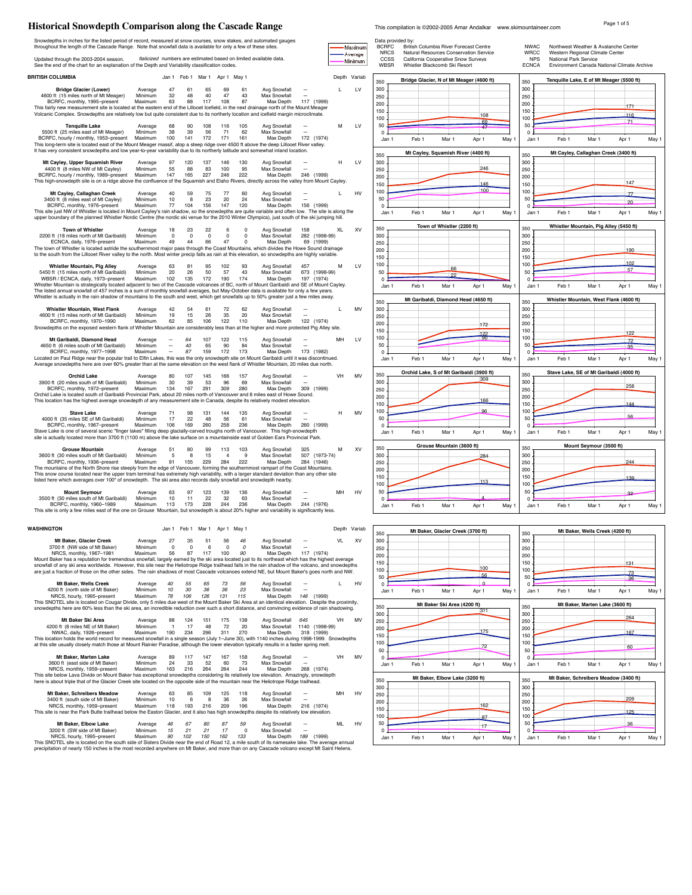# **Historical Snowdepth Comparison along the Cascade Range** This compilation is @2002-2005 Amar Andalkar www.skimountaineer.com Page 1 of 5

| Snowdepths in inches for the listed period of record, measured at snow courses, snow stakes, and automated gauges<br>throughout the length of the Cascade Range. Note that snowfall data is available for only a few of these sites.                                                                                                                                              |                               |                                           |                      |                                                 |                                                                   |                             |              | Maximum            | Data provided by:<br><b>BCRFC</b> | British Columbia River Forecast Centre                                                                         | <b>NWAC</b>                        |                                                          | Northwest Weather & Avalanche Center   |                                             |       |
|-----------------------------------------------------------------------------------------------------------------------------------------------------------------------------------------------------------------------------------------------------------------------------------------------------------------------------------------------------------------------------------|-------------------------------|-------------------------------------------|----------------------|-------------------------------------------------|-------------------------------------------------------------------|-----------------------------|--------------|--------------------|-----------------------------------|----------------------------------------------------------------------------------------------------------------|------------------------------------|----------------------------------------------------------|----------------------------------------|---------------------------------------------|-------|
| Updated through the 2003-2004 season.<br>See the end of the chart for an explanation of the Depth and Variability classification codes.                                                                                                                                                                                                                                           |                               |                                           |                      |                                                 | Italicized numbers are estimated based on limited available data. |                             |              | Average<br>Minimum | <b>NRCS</b><br>CCSS<br>WBSR       | Natural Resources Conservation Service<br>California Cooperative Snow Surveys<br>Whistler Blackcomb Ski Resort | WRCC<br><b>NPS</b><br><b>ECNCA</b> | Western Regional Climate Center<br>National Park Service |                                        | Environment Canada National Climate Archive |       |
| <b>BRITISH COLUMBIA</b>                                                                                                                                                                                                                                                                                                                                                           |                               | Jan 1 Feb 1 Mar 1 Apr 1 May 1             |                      |                                                 |                                                                   |                             | Depth Variab |                    |                                   | Bridge Glacier, N of Mt Meager (4600 ft)                                                                       |                                    | Tenquille Lake, E of Mt Meager (5500 ft)                 |                                        |                                             |       |
| <b>Bridge Glacier (Lower)</b><br>4600 ft (15 miles north of Mt Meager)<br>BCRFC, monthly, 1995-present<br>This fairly new measurement site is located at the eastern end of the Lillooet Icefield, in the next drainage north of the Mount Meager                                                                                                                                 | Average<br>Minimum<br>Maximum | 47<br>61<br>32<br>48<br>63<br>88          | 65<br>40<br>117      | 69<br>61<br>47<br>43<br>87<br>108               | Avg Snowfall<br>Max Snowfall<br>Max Depth                         | 117 (1999)                  | л.           | LV                 | 350<br>300<br>250<br>200          |                                                                                                                | 350<br>300<br>250<br>200           |                                                          |                                        | 171                                         |       |
| Volcanic Complex. Snowdepths are relatively low but quite consistent due to its northerly location and icefield margin microclimate.                                                                                                                                                                                                                                              |                               |                                           |                      |                                                 |                                                                   |                             |              |                    | 150<br>100                        | 108                                                                                                            | 150<br>100                         |                                                          |                                        | 116                                         |       |
| <b>Tenquille Lake</b><br>5500 ft (25 miles east of Mt Meager)<br>BCRFC, hourly / monthly, 1953-present<br>This long-term site is located east of the Mount Meager massif, atop a steep ridge over 4500 ft above the deep Lillooet River valley.<br>It has very consistent snowdepths and low year-to-year variability due to its northerly latitude and somewhat inland location. | Average<br>Minimum<br>Maximum | 68<br>90<br>38<br>39<br>100<br>141        | 108<br>56<br>172     | 116<br>105<br>71<br>62<br>171<br>161            | Avg Snowfall<br>Max Snowfall<br>Max Depth                         | 172 (1974)                  | м            | LV                 | 50<br>$\Omega$<br>Jan 1           | 69<br>Feb 1<br>Mar 1<br>Apr 1<br>May                                                                           | 50<br>$\circ$<br>Jan '             | Feb <sub>1</sub>                                         | Mar 1                                  | 71<br>Apr 1                                 | May 1 |
| Mt Cayley, Upper Squamish River                                                                                                                                                                                                                                                                                                                                                   | Average                       | 97<br>120                                 | 137                  | 146<br>130                                      | Avg Snowfall                                                      |                             | н            | LV                 | 350<br>300                        | Mt Cayley, Squamish River (4400 ft)                                                                            | 350<br>300                         |                                                          | Mt Cayley, Callaghan Creek (3400 ft)   |                                             |       |
| 4400 ft (8 miles NW of Mt Cavley)<br>BCRFC, hourly / monthly, 1989-present<br>This high-snowdepth site is on a ridge above the confluence of the Squamish and Elaho Rivers, directly across the valley from Mount Cayley.                                                                                                                                                         | Minimum<br>Maximum            | 55<br>88<br>147<br>165                    | 83<br>227            | 100<br>95<br>246<br>222                         | <b>Max Snowfall</b><br>Max Depth                                  | 246 (1999)                  |              |                    | 250<br>200<br>150                 | 246<br>146                                                                                                     | 250<br>200<br>150                  |                                                          |                                        | 147                                         |       |
| Mt Cayley, Callaghan Creek<br>3400 ft (8 miles east of Mt Cayley)                                                                                                                                                                                                                                                                                                                 | Average<br>Minimum            | 40<br>59<br>10<br>8                       | 75<br>23             | 77<br>60<br>20<br>24                            | Avg Snowfall<br>Max Snowfall                                      |                             | $\mathbf{L}$ | HV                 | 100<br>50                         | 100                                                                                                            | 100<br>50                          |                                                          |                                        | 77                                          |       |
| BCRFC, monthly, 1976-present<br>This site just NW of Whistler is located in Mount Cayley's rain shadow, so the snowdepths are quite variable and often low. The site is along the<br>upper boundary of the planned Whistler Nordic Centre (the nordic ski venue for the 2010 Winter Olympics), just south of the ski jumping hill.                                                | Maximum                       | 77<br>104                                 | 156                  | 147<br>120                                      | Max Depth                                                         | 156 (1999)                  |              |                    | $\Omega$<br>Jan '                 | Feb 1<br>May<br>Mar 1<br>Apr 1                                                                                 | $\Omega$<br>Jan 1                  | Feb 1                                                    | Mar 1                                  | 20<br>Apr 1                                 | May   |
| <b>Town of Whistler</b>                                                                                                                                                                                                                                                                                                                                                           | Average                       | 18<br>23                                  | 22                   | $\mathbf 0$<br>6                                | Avg Snowfall                                                      | 158                         | XL           | XV                 | 350                               | Town of Whistler (2200 ft)                                                                                     | 350                                |                                                          | Whistler Mountain, Pig Alley (5450 ft) |                                             |       |
| 2200 ft (18 miles north of Mt Garibaldi)<br>ECNCA, daily, 1976-present                                                                                                                                                                                                                                                                                                            | Minimum<br>Maximum            | $^{\circ}$<br>$^{\circ}$<br>49<br>44      | $\overline{0}$<br>66 | $\mathbf 0$<br>$^{\circ}$<br>47<br>$\Omega$     | Max Snowfall<br>Max Depth                                         | 282 (1998-99)<br>69 (1999)  |              |                    | 300<br>250                        |                                                                                                                | 300<br>250                         |                                                          |                                        |                                             |       |
| The town of Whistler is located astride the southernmost major pass through the Coast Mountains, which divides the Howe Sound drainage<br>to the south from the Lillooet River valley to the north. Most winter precip falls as rain at this elevation, so snowdepths are highly variable.                                                                                        |                               |                                           |                      |                                                 |                                                                   |                             |              |                    | 200                               |                                                                                                                | 200                                |                                                          |                                        | 190                                         |       |
| Whistler Mountain, Pig Alley                                                                                                                                                                                                                                                                                                                                                      | Average                       | 63<br>81                                  | 95                   | 102<br>93                                       | Avg Snowfall                                                      | 457                         | м            | LV                 | 150<br>100                        |                                                                                                                | 150<br>100                         |                                                          |                                        | 102                                         |       |
| 5450 ft (15 miles north of Mt Garibaldi)<br>WBSR / ECNCA, daily, 1973-present                                                                                                                                                                                                                                                                                                     | Minimum<br>Maximum            | 20<br>26<br>102<br>135                    | 50<br>172            | 57<br>43<br>190<br>174                          | Max Snowfall<br>Max Denth                                         | 673 (1998-99)<br>197 (1974) |              |                    | 50<br>$\Omega$ .                  | 66<br>22                                                                                                       | 50<br>$\mathbf 0$                  |                                                          |                                        | 57                                          |       |
| Whistler Mountain is strategically located adjacent to two of the Cascade volcanoes of BC, north of Mount Garibaldi and SE of Mount Cayley.                                                                                                                                                                                                                                       |                               |                                           |                      |                                                 |                                                                   |                             |              |                    | Jan 1                             | Feb 1<br>May '<br>Mar 1<br>Apr 1                                                                               | Jan '                              | Feb 1                                                    | Mar 1                                  | Apr 1                                       | May 1 |
| The listed annual snowfall of 457 inches is a sum of monthly snowfall averages, but May-October data is available for only a few years.<br>Whistler is actually in the rain shadow of mountains to the south and west, which get snowfalls up to 50% greater just a few miles away.                                                                                               |                               |                                           |                      |                                                 |                                                                   |                             |              |                    |                                   | Mt Garibaldi. Diamond Head (4650 ft)                                                                           |                                    | Whistler Mountain, West Flank (4600 ft)                  |                                        |                                             |       |
| <b>Whistler Mountain, West Flank</b>                                                                                                                                                                                                                                                                                                                                              | Average                       | 42<br>54                                  | 61                   | 72<br>62                                        | Avg Snowfall                                                      |                             |              | MV                 | 350<br>300                        |                                                                                                                | 350<br>300                         |                                                          |                                        |                                             |       |
| 4600 ft (15 miles north of Mt Garibaldi)<br>BCRFC, monthly, 1970-1990                                                                                                                                                                                                                                                                                                             | Minimum<br>Maximum            | 19<br>15<br>62<br>85                      | 26<br>106            | 35<br>20<br>122<br>110                          | Max Snowfall<br>Max Depth                                         | 122 (1974)                  |              |                    | 250<br>200                        |                                                                                                                | 250<br>200                         |                                                          |                                        |                                             |       |
| Snowdepths on the exposed western flank of Whistler Mountain are considerably less than                                                                                                                                                                                                                                                                                           |                               |                                           |                      |                                                 | at the higher and more protected Pig Alley site.                  |                             |              |                    | 150                               | 172<br>122                                                                                                     | 150                                |                                                          |                                        | 122                                         |       |
| Mt Garibaldi, Diamond Head<br>4650 ft (6 miles south of Mt Garibaldi)                                                                                                                                                                                                                                                                                                             | Average<br>Minimum            | 64<br>40                                  | 107<br>65            | 122<br>115<br>90<br>84                          | Avg Snowfall<br>Max Snowfall                                      |                             | MH           | LV                 | 100<br>50                         |                                                                                                                | 100<br>50                          |                                                          |                                        | 72                                          |       |
| BCRFC, monthly, 1977-1998                                                                                                                                                                                                                                                                                                                                                         | Maximum                       | 87                                        | 159                  | 172<br>173                                      | Max Depth                                                         | 173 (1982)                  |              |                    | $\Omega$                          |                                                                                                                | $\Omega$                           |                                                          |                                        | 35                                          |       |
| Located on Paul Ridge near the popular trail to Elfin Lakes, this was the only snowdepth site on Mount Garibaldi until it was discontinued.<br>Average snowdepths here are over 60% greater than at the same elevation on the west flank of Whistler Mountain, 20 miles due north.                                                                                                |                               |                                           |                      |                                                 |                                                                   |                             |              |                    | Jan 1                             | Feb 1<br>Mar 1<br>May '<br>Apr 1                                                                               | Jan 1                              | Feb 1                                                    | Mar 1                                  | Apr 1                                       | May 1 |
| <b>Orchid Lake</b>                                                                                                                                                                                                                                                                                                                                                                | Average                       | 80<br>107                                 | 145                  | 166<br>157                                      | Avg Snowfall                                                      |                             | VH           | MV                 | 350                               | Orchid Lake, S of Mt Garibaldi (3900 ft)<br>309                                                                | 350                                | Stave Lake, SE of Mt Garibaldi (4000 ft)                 |                                        |                                             |       |
| 3900 ft (20 miles south of Mt Garibaldi)<br>BCRFC, monthly, 1972-present                                                                                                                                                                                                                                                                                                          | Minimum<br>Maximum            | 30<br>39<br>134<br>167                    | 53<br>291            | 96<br>69<br>309<br>280                          | Max Snowfall<br>Max Depth                                         | 309 (1999)                  |              |                    | 300<br>250                        |                                                                                                                | 300<br>250                         |                                                          |                                        | 258                                         |       |
| Orchid Lake is located south of Garibaldi Provincial Park, about 20 miles north of Vancouver and 8 miles east of Howe Sound.<br>This location has the highest average snowdepth of any measurement site in Canada, despite its relatively modest elevation.                                                                                                                       |                               |                                           |                      |                                                 |                                                                   |                             |              |                    | 200                               | 166                                                                                                            | 200                                |                                                          |                                        |                                             |       |
| <b>Stave Lake</b>                                                                                                                                                                                                                                                                                                                                                                 | Average                       | 71<br>98                                  | 131                  | 144<br>135                                      | Avg Snowfall                                                      |                             | H            | MV                 | 150<br>100                        | 96                                                                                                             | 150<br>100                         |                                                          |                                        | 144                                         |       |
| 4000 ft (35 miles SE of Mt Garibaldi)                                                                                                                                                                                                                                                                                                                                             | Minimum<br>Maximum            | 17<br>22<br>106<br>169                    | 48<br>260            | 56<br>61<br>258<br>236                          | Max Snowfall<br>Max Depth                                         | 260 (1999)                  |              |                    | 50                                |                                                                                                                | 50                                 |                                                          |                                        | 56                                          |       |
| BCRFC, monthly, 1967-present<br>Stave Lake is one of several scenic "finger lakes" filling deep glacially-carved troughs north of Vancouver. This high-snowdepth                                                                                                                                                                                                                  |                               |                                           |                      |                                                 |                                                                   |                             |              |                    | $^{\circ}$<br>Jan 1               | Feb 1<br>Mar 1<br>Apr 1<br>May                                                                                 | $^{\circ}$<br>Jan 1                | Feb 1                                                    | Mar 1                                  | Apr 1                                       | May 1 |
| site is actually located more than 3700 ft (1100 m) above the lake surface on a mountainside east of Golden Ears Provincial Park                                                                                                                                                                                                                                                  |                               |                                           |                      |                                                 |                                                                   |                             |              |                    | 350                               | Grouse Mountain (3600 ft)                                                                                      | 350                                |                                                          | Mount Seymour (3500 ft)                |                                             |       |
| <b>Grouse Mountain</b><br>3600 ft (30 miles south of Mt Garibaldi)                                                                                                                                                                                                                                                                                                                | Average<br>Minimum            | 51<br>80<br>-5<br>-8                      | 99<br>15             | 113<br>103<br>-9<br>$\overline{4}$              | Avg Snowfall<br>Max Snowfall                                      | 325<br>507 (1973-74)        | м            | XV                 | 300                               | 284                                                                                                            | 300                                |                                                          |                                        |                                             |       |
| BCRFC, monthly, 1936-present<br>The mountains of the North Shore rise steeply from the edge of Vancouver, forming the southernmost rampart of the Coast Mountains.                                                                                                                                                                                                                | Maximum                       | 91<br>155                                 | 229                  | 284<br>222                                      | Max Depth                                                         | 284 (1946)                  |              |                    | 250<br>200                        |                                                                                                                | 250<br>200                         |                                                          |                                        | 244                                         |       |
| This snow course located near the upper tram terminal has extremely high variability, with a larger standard deviation than any other site<br>listed here which averages over 100" of snowdepth. The ski area also records daily snowfall and snowdepth nearby.                                                                                                                   |                               |                                           |                      |                                                 |                                                                   |                             |              |                    | 150                               | 113                                                                                                            | 150                                |                                                          |                                        | 139                                         |       |
| <b>Mount Seymour</b>                                                                                                                                                                                                                                                                                                                                                              | Average                       | 63<br>97                                  | 123                  | 139<br>136                                      | Avg Snowfall                                                      |                             | MH           | HV                 | 100<br>50                         |                                                                                                                | 100<br>50                          |                                                          |                                        | 32                                          |       |
| 3500 ft (30 miles south of Mt Garibaldi)<br>BCRFC, monthly, 1960-1989                                                                                                                                                                                                                                                                                                             | Minimum<br>Maximum            | 10<br>11<br>113<br>173                    | 22<br>228            | 32<br>63<br>244<br>236                          | <b>Max Snowfall</b><br>Max Depth                                  | 244 (1976)                  |              |                    |                                   |                                                                                                                | 0                                  |                                                          |                                        |                                             |       |
| This site is only a few miles east of the one on Grouse Mountain, but snowdepth is about 20% higher and variability is significantly less.                                                                                                                                                                                                                                        |                               |                                           |                      |                                                 |                                                                   |                             |              |                    | Jan 1                             | Feb 1<br>Mar 1<br>Apr 1<br>May                                                                                 | Jan '                              | Feb 1                                                    | Mar 1                                  | Apr 1                                       | May 1 |
| WASHINGTON                                                                                                                                                                                                                                                                                                                                                                        |                               | Jan 1 Feb 1 Mar 1 Apr 1 May 1             |                      |                                                 |                                                                   |                             |              | Depth Variab       |                                   |                                                                                                                |                                    |                                                          |                                        |                                             |       |
|                                                                                                                                                                                                                                                                                                                                                                                   |                               |                                           |                      |                                                 |                                                                   |                             |              |                    | 350                               | Mt Baker, Glacier Creek (3700 ft)                                                                              | 350                                |                                                          | Mt Baker, Wells Creek (4200 ft)        |                                             |       |
| Mt Baker, Glacier Creek<br>3700 ft (NW side of Mt Baker)                                                                                                                                                                                                                                                                                                                          | Average<br>Minimum            | 27<br>35<br>$\mathbf 0$<br>$\overline{0}$ | - 6                  | 56<br>46<br>$\overline{\mathbf{0}}$<br>$\Omega$ | Avg Snowfall<br>Max Snowfall                                      |                             |              | XV                 | 300<br>250                        |                                                                                                                | 300<br>250                         |                                                          |                                        |                                             |       |
| NRCS, monthly, 1967-1981<br>Mount Baker has a reputation for tremendous snowfall, largely earned by the ski area located just to its northeast which has the highest average                                                                                                                                                                                                      | Maximum                       | 56<br>87                                  | 117                  | 100<br>90                                       | Max Depth                                                         | 117 (1974)                  |              |                    | 200<br>150                        |                                                                                                                | 200<br>150                         |                                                          |                                        |                                             |       |
| snowfall of any ski area worldwide. However, this site near the Heliotrope Ridge trailhead falls in the rain shadow of the volcano, and snowdepths<br>are just a fraction of those on the other sides. The rain shadows of most Cascade volcanoes extend NE, but Mount Baker's goes north and NW.                                                                                 |                               |                                           |                      |                                                 |                                                                   |                             |              |                    | 100                               | 100                                                                                                            | 100                                |                                                          |                                        | 131<br>73                                   |       |
| Mt Baker, Wells Creek                                                                                                                                                                                                                                                                                                                                                             | Average                       | 40<br>55                                  | 65                   | 73<br>56                                        | Avg Snowfall                                                      |                             |              | HV                 | 50<br>$\Omega$                    | 56<br>$\Omega$                                                                                                 | 50<br>$\mathbf 0$                  |                                                          |                                        | 36                                          |       |
| 4200 ft (north side of Mt Baker)<br>NRCS, hourly, 1995-present                                                                                                                                                                                                                                                                                                                    | Minimum<br>Maximum            | 10<br>30<br>78<br>106                     | 36<br>126            | 23<br>36<br>131<br>115                          | Max Snowfall<br>Max Depth                                         | 146 (1999)                  |              |                    | Jan 1                             | Mar 1<br>Feb 1<br>Apr 1<br>May 1                                                                               | Jan 1                              | Feb 1                                                    | Mar 1                                  | Apr 1                                       | May 1 |
| This SNOTEL site is located on Cougar Divide, only 5 miles due west of the Mount Baker Ski Area at an identical elevation. Despite the proximity,                                                                                                                                                                                                                                 |                               |                                           |                      |                                                 |                                                                   |                             |              |                    | 350                               | Mt Baker Ski Area (4200 ft)                                                                                    | 350                                |                                                          | Mt Baker, Marten Lake (3600 ft)        |                                             |       |
| snowdepths here are 60% less than the ski area, an incredible reduction over such a short distance, and convincing evidence of rain shadowing.                                                                                                                                                                                                                                    |                               |                                           |                      |                                                 |                                                                   |                             |              |                    | 300                               | 311                                                                                                            | 300                                |                                                          |                                        | 264                                         |       |
| Mt Baker Ski Area<br>4200 ft (8 miles NE of Mt Baker)                                                                                                                                                                                                                                                                                                                             | Average<br>Minimum            | 124<br>88<br>17<br>$\overline{1}$         | 151<br>48            | 138<br>175<br>72<br>20                          | Avg Snowfall<br>Max Snowfall                                      | 645<br>1140 (1998-99)       | VH           | <b>MV</b>          | 250<br>200                        |                                                                                                                | 250<br>200                         |                                                          |                                        |                                             |       |
| NWAC, daily, 1926-present<br>This location holds the world record for measured snowfall in a single season (July 1-June 30), with 1140 inches during 1998-1999. Snowdepths                                                                                                                                                                                                        | Maximum                       | 190<br>234                                | 296                  | 311<br>270                                      | Max Depth                                                         | 318 (1999)                  |              |                    | 150                               | 175                                                                                                            | 150                                |                                                          |                                        | 167                                         |       |
| at this site usually closely match those at Mount Rainier Paradise, although the lower elevation typically results in a faster spring melt                                                                                                                                                                                                                                        |                               |                                           |                      |                                                 |                                                                   |                             |              |                    | 100<br>50                         | 72                                                                                                             | 100<br>50                          |                                                          |                                        | 60                                          |       |
| Mt Baker, Marten Lake<br>3600 ft (east side of Mt Baker)                                                                                                                                                                                                                                                                                                                          | Average<br>Minimum            | 89<br>117<br>24<br>33                     | 147<br>52            | 167<br>158<br>60<br>73                          | Avg Snowfall<br>Max Snowfall                                      |                             | VH           | MV                 | $\Omega$<br>Jan 1                 | Feb <sub>1</sub><br>Mar 1<br>May 1<br>Apr 1                                                                    | $\Omega$<br>Jan 1                  | Feb <sub>1</sub>                                         | Mar 1                                  | Apr 1                                       | May 1 |
| NRCS, monthly, 1959-present<br>This site below Lava Divide on Mount Baker has exceptional snowdepths considering its relatively low elevation. Amazingly, snowdepth                                                                                                                                                                                                               | Maximum                       | 163<br>216                                | 264                  | 264<br>244                                      | Max Depth                                                         | 268 (1974)                  |              |                    |                                   |                                                                                                                |                                    |                                                          |                                        |                                             |       |
|                                                                                                                                                                                                                                                                                                                                                                                   |                               |                                           |                      |                                                 |                                                                   |                             |              |                    | 350                               | Mt Baker, Elbow Lake (3200 ft)                                                                                 | 350                                | Mt Baker, Schreibers Meadow (3400 ft)                    |                                        |                                             |       |
| here is about triple that of the Glacier Creek site located on the opposite side of the mountain near the Heliotrope Ridge trailhead.                                                                                                                                                                                                                                             |                               |                                           |                      |                                                 |                                                                   |                             |              |                    |                                   |                                                                                                                |                                    |                                                          |                                        |                                             |       |
| Mt Baker, Schreibers Meadow                                                                                                                                                                                                                                                                                                                                                       | Average                       | 63<br>85                                  | 109                  | 125<br>118                                      | Avg Snowfall                                                      |                             | MH           | HV                 | 300<br>250                        |                                                                                                                | 300<br>250                         |                                                          |                                        |                                             |       |
| 3400 ft (south side of Mt Baker)<br>NRCS, monthly, 1959-present                                                                                                                                                                                                                                                                                                                   | Minimum<br>Maximum            | 10<br>6<br>193<br>118                     | 8<br>216             | 36<br>26<br>209<br>196                          | Max Snowfall<br>Max Depth                                         | 216 (1974)                  |              |                    | 200                               | 162                                                                                                            | 200                                |                                                          |                                        | 209                                         |       |
| This site is near the Park Butte trailhead below the Easton Glacier, and it also has high snowdepths despite its relatively low elevation.                                                                                                                                                                                                                                        |                               |                                           |                      |                                                 |                                                                   |                             |              |                    | 150<br>100                        | 87                                                                                                             | 150<br>100                         |                                                          |                                        | 125                                         |       |
| Mt Baker, Elbow Lake<br>3200 ft (SW side of Mt Baker)                                                                                                                                                                                                                                                                                                                             | Average<br>Minimum            | 46<br>67<br>15<br>21                      | 80<br>21             | 87<br>59<br>17<br>$\Omega$                      | Avg Snowfall<br>Max Snowfall                                      |                             | ML           | HV                 | 50<br>$\Omega$                    | 17                                                                                                             | 50<br>$^{\circ}$                   |                                                          |                                        | 36                                          |       |
| NRCS, hourly, 1995-present<br>This SNOTEL site is located on the south side of Sisters Divide near the end of Road 12, a mile south of its namesake lake. The average annual                                                                                                                                                                                                      | Maximum                       | 90<br>102                                 | 150                  | 162<br>133                                      | Max Depth                                                         | 189 (1999)                  |              |                    | Jan 1                             | Feb 1<br>Mar 1<br>Apr 1<br>May                                                                                 | Jan 1                              | Feb 1                                                    | Mar 1                                  | Apr 1                                       | May 1 |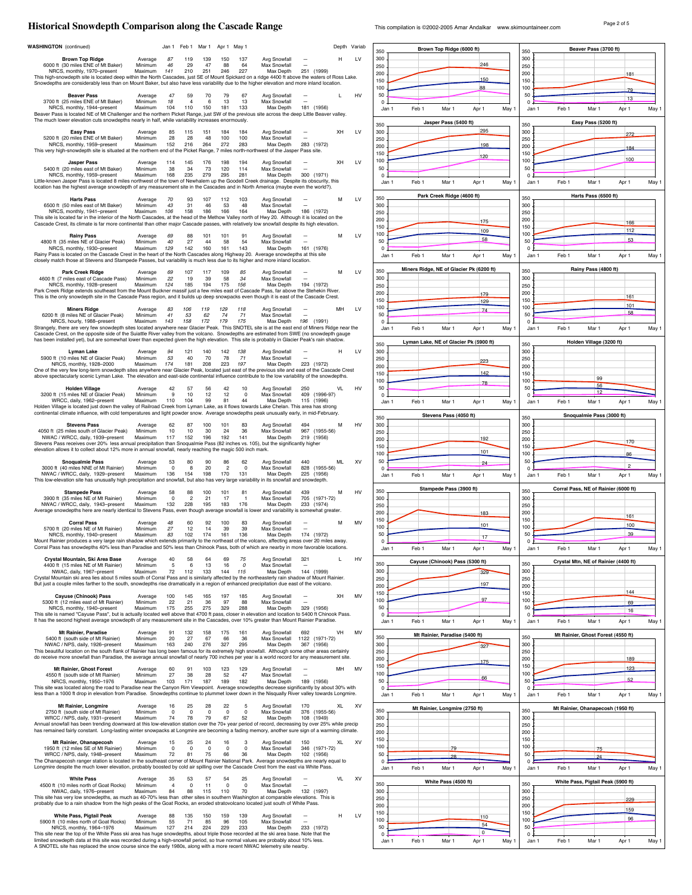## **Historical Snowdepth Comparison along the Cascade Range** This compilation is @2002-2005 Amar Andalkar www.skimountaineer.com Page 2 of 5

| <b>WASHINGTON</b> (continued)                                                                                                                                                                                                                                                                                                  |                                                  | Jan 1 Feb 1 Mar 1             |                   | Apr 1 May 1          |                               |                                           |                                        | Depth Variab |           |                         |                  | Brown Top Ridge (6000 ft)                |                         |     |                         |                  | Beaver Pass (3700 ft)                |             |       |
|--------------------------------------------------------------------------------------------------------------------------------------------------------------------------------------------------------------------------------------------------------------------------------------------------------------------------------|--------------------------------------------------|-------------------------------|-------------------|----------------------|-------------------------------|-------------------------------------------|----------------------------------------|--------------|-----------|-------------------------|------------------|------------------------------------------|-------------------------|-----|-------------------------|------------------|--------------------------------------|-------------|-------|
| <b>Brown Top Ridge</b>                                                                                                                                                                                                                                                                                                         | Average<br>87                                    | 119                           | 139               | 150                  | 137                           | Avg Snowfall                              |                                        | н            | LV        | 350<br>300              |                  |                                          |                         |     | 350<br>300              |                  |                                      |             |       |
| 6000 ft (30 miles ENE of Mt Baker)<br>NRCS, monthly, 1970-present<br>This high-snowdepth site is located deep within the North Cascades, just SE of Mount Spickard on a ridge 4400 ft above the waters of Ross Lake.                                                                                                           | 46<br>Minimum<br>Maximum<br>141                  | 29<br>210                     | 47<br>251         | 88<br>246            | 64<br>227                     | Max Snowfall<br>Max Depth                 | 251 (1999)                             |              |           | 250<br>200              |                  |                                          | 246                     |     | 250<br>200              |                  |                                      | 181         |       |
| Snowdepths are considerably less than on Mount Baker, but also have less variability due to the higher elevation and more inland location.                                                                                                                                                                                     |                                                  |                               |                   |                      |                               |                                           |                                        |              |           | 150<br>100              |                  |                                          | 150<br>88               |     | 150<br>100              |                  |                                      | 79          |       |
| <b>Beaver Pass</b><br>3700 ft (25 miles ENE of Mt Baker)                                                                                                                                                                                                                                                                       | Average<br>47<br>Minimum<br>18                   | 59<br>$\overline{4}$          | 70<br>6           | 79<br>13             | 67<br>13                      | Avg Snowfall<br>Max Snowfall              |                                        | L.           | HV        | 50<br>$\Omega$          |                  |                                          |                         |     | 50<br>$\Omega$          |                  |                                      | 13          |       |
| NRCS, monthly, 1944-present<br>Beaver Pass is located NE of Mt Challenger and the northern Picket Range, just SW of the previous site across the deep Little Beaver valley.                                                                                                                                                    | Maximum<br>104                                   | 110                           | 150               | 181                  | 133                           | Max Depth                                 | 181 (1956)                             |              |           | Jan 1                   | Feb 1            | Mar 1                                    | Apr 1                   | May | Jan 1                   | Feb 1            | Mar 1                                | Apr 1       | May 1 |
| The much lower elevation cuts snowdepths nearly in half, while variability increases enormously.                                                                                                                                                                                                                               |                                                  |                               |                   |                      |                               |                                           |                                        |              |           | 350                     |                  | Jasper Pass (5400 ft)                    |                         |     | 350                     |                  | Easy Pass (5200 ft)                  |             |       |
| <b>Easy Pass</b><br>5200 ft (20 miles ENE of Mt Baker)<br>NRCS, monthly, 1959-present                                                                                                                                                                                                                                          | Average<br>85<br>28<br>Minimum<br>Maximum<br>152 | 115<br>28<br>216              | 151<br>48<br>264  | 184<br>100<br>272    | 184<br>100<br>283             | Avg Snowfall<br>Max Snowfall<br>Max Depth | $\overline{\phantom{a}}$<br>283 (1972) | XH           | LV        | 300<br>250              |                  |                                          | 295                     |     | 300<br>250              |                  |                                      | 272         |       |
| This very high-snowdepth site is situated at the northern end of the Picket Range, 7 miles north-northwest of the Jasper Pass site.                                                                                                                                                                                            |                                                  |                               |                   |                      |                               |                                           |                                        |              |           | 200<br>150              |                  |                                          | 198<br>120              |     | 200<br>150              |                  |                                      | 184         |       |
| <b>Jasper Pass</b><br>5400 ft (20 miles east of Mt Baker)                                                                                                                                                                                                                                                                      | Average<br>114<br>Minimum<br>38                  | 145<br>34                     | 176<br>73         | 198<br>120           | 194<br>114                    | Avg Snowfall<br>Max Snowfall              |                                        | XH           | LV        | 100<br>50               |                  |                                          |                         |     | 100<br>50               |                  |                                      | 100         |       |
| NRCS, monthly, 1959-present<br>Little-known Jasper Pass is located 8 miles northwest of the town of Newhalem up the Goodell Creek drainage. Despite its obscurity, this                                                                                                                                                        | 168<br>Maximum                                   | 235                           | 279               | 295                  | 281                           | Max Depth                                 | 300 (1971)                             |              |           | $\Omega$<br>Jan 1       | Feb <sub>1</sub> | Mar 1                                    | Apr 1                   | May | $\Omega$<br>Jan 1       | Feb 1            | Mar 1                                | Apr 1       | May 1 |
| location has the highest average snowdepth of any measurement site in the Cascades and in North America (maybe even the world?).                                                                                                                                                                                               |                                                  |                               |                   |                      |                               |                                           |                                        |              |           |                         |                  | Park Creek Ridge (4600 ft)               |                         |     |                         |                  | Harts Pass (6500 ft)                 |             |       |
| <b>Harts Pass</b><br>6500 ft (50 miles east of Mt Baker)                                                                                                                                                                                                                                                                       | Average<br>70<br>43<br>Minimum                   | 93<br>31                      | 107<br>46         | 112<br>53            | 103<br>48                     | Avg Snowfall<br>Max Snowfall              |                                        | м            | LV        | 350<br>300              |                  |                                          |                         |     | 350<br>300              |                  |                                      |             |       |
| NRCS, monthly, 1941-present<br>This site is located far in the interior of the North Cascades, at the head of the Methow Valley north of Hwy 20. Although it is located on the<br>Cascade Crest, its climate is far more continental than other major Cascade passes, with relatively low snowfall despite its high elevation. | 106<br>Maximum                                   | 158                           | 186               | 166                  | 164                           | Max Depth                                 | 186 (1972)                             |              |           | 250<br>200              |                  |                                          | 175                     |     | 250<br>200              |                  |                                      | 166         |       |
| <b>Rainv Pass</b>                                                                                                                                                                                                                                                                                                              | Average<br>69                                    | 88                            | 101               | 101                  | 91                            | Avg Snowfall                              |                                        | М            | LV        | 150<br>100              |                  |                                          | 109                     |     | 150<br>100              |                  |                                      | 112         |       |
| 4800 ft (35 miles NE of Glacier Peak)<br>NRCS, monthly, 1930-present                                                                                                                                                                                                                                                           | 40<br>Minimum<br>129<br>Maximum                  | 27<br>142                     | 44<br>160         | 58<br>161            | 54<br>143                     | Max Snowfall<br>Max Depth                 | 161 (1976)                             |              |           | 50<br>$\Omega$          |                  |                                          | 58                      |     | 50<br>$\mathbf 0$       |                  |                                      | 53          |       |
| Rainy Pass is located on the Cascade Crest in the heart of the North Cascades along Highway 20. Average snowdepths at this site<br>closely match those at Stevens and Stampede Passes, but variability is much less due to its higher and more inland location.                                                                |                                                  |                               |                   |                      |                               |                                           |                                        |              |           | Jan 1                   | Feb 1            | Mar 1                                    | Apr 1                   | May | Jan 1                   | Feb 1            | Mar 1                                | Apr 1       | May ' |
| Park Creek Ridge                                                                                                                                                                                                                                                                                                               | Average<br>69                                    | 107                           | 117               | 109                  | 85                            | Avg Snowfall                              |                                        | м            | LV        | 350                     |                  | Miners Ridge, NE of Glacier Pk (6200 ft) |                         |     | 350                     |                  | Rainy Pass (4800 ft)                 |             |       |
| 4600 ft (7 miles east of Cascade Pass)<br>NRCS, monthly, 1928-present                                                                                                                                                                                                                                                          | 22<br>Minimum<br>Maximum<br>124                  | 19<br>185                     | 39<br>194         | 58<br>175            | .34<br>156                    | Max Snowfall<br>Max Depth                 | 194 (1972)                             |              |           | 300<br>250              |                  |                                          |                         |     | 300<br>250              |                  |                                      |             |       |
| Park Creek Ridge extends southeast from the Mount Buckner massif just a few miles east of Cascade Pass, far above the Stehekin River.<br>This is the only snowdepth site in the Cascade Pass region, and it builds up deep snowpacks even though it is east of the Cascade Crest.                                              |                                                  |                               |                   |                      |                               |                                           |                                        |              |           | 200<br>150              |                  |                                          | 179<br>129              |     | 200<br>150              |                  |                                      | 161         |       |
| <b>Miners Ridge</b><br>6200 ft (8 miles NE of Glacier Peak)                                                                                                                                                                                                                                                                    | Average<br>83<br>Minimum<br>41                   | 106<br>53                     | 119<br>62         | 129<br>74            | 118<br>71                     | Avg Snowfall<br>Max Snowfall              |                                        | MH           | LV        | 100<br>50               |                  |                                          | 74                      |     | 100<br>50               |                  |                                      | 101<br>58   |       |
| NRCS, hourly, 1988-present<br>Strangely, there are very few snowdepth sites located anywhere near Glacier Peak. This SNOTEL site is at the east end of Miners Ridge near the                                                                                                                                                   | Maximum<br>143                                   | 158                           | 172               | 179<br>175           |                               | Max Depth                                 | 196 (1991)                             |              |           | $\circ$<br>Jan 1        | Feb 1            | Mar 1                                    | Apr 1                   | May | $\mathbf 0$<br>Jan 1    | Feb 1            | Mar 1                                | Apr 1       | May 1 |
| Cascade Crest, on the opposite side of the Suiattle River valley from the volcano. Snowdepths are estimated from SWE (no snowdepth gauge<br>has been installed yet), but are somewhat lower than expected given the high elevation. This site is probably in Glacier Peak's rain shadow.                                       |                                                  |                               |                   |                      |                               |                                           |                                        |              |           |                         |                  | Lyman Lake, NE of Glacier Pk (5900 ft)   |                         |     |                         |                  | Holden Village (3200 ft)             |             |       |
| Lyman Lake                                                                                                                                                                                                                                                                                                                     | Average<br>94                                    | 121                           | 140               | 142                  | 138                           | Avg Snowfall                              |                                        | н            | LV        | 350<br>300              |                  |                                          |                         |     | 350<br>300              |                  |                                      |             |       |
| 5900 ft (10 miles NE of Glacier Peak)<br>NRCS, monthly, 1928-2000                                                                                                                                                                                                                                                              | 53<br>Minimum<br>174<br>Maximum                  | 40<br>181                     | 70<br>208         | 78<br>223            | 71<br>197                     | Max Snowfall<br>Max Depth                 | 223 (1972)                             |              |           | 250<br>200              |                  |                                          | 223                     |     | 250<br>200              |                  |                                      |             |       |
| One of the very few long-term snowdepth sites anywhere near Glacier Peak, located just east of the previous site and east of the Cascade Crest<br>above spectacularly scenic Lyman Lake. The elevation and east-side continental influence contribute to the low variability of the snowdepths.                                |                                                  |                               |                   |                      |                               |                                           |                                        |              |           | 150<br>100              |                  |                                          | 142                     |     | 150<br>100              |                  | 99                                   |             |       |
| <b>Holden Village</b><br>3200 ft (15 miles NE of Glacier Peak)                                                                                                                                                                                                                                                                 | 42<br>Average<br>9<br>Minimum                    | 57<br>10                      | 56<br>12          | 42<br>12             | 10<br>$\mathbf 0$             | Avg Snowfall<br>Max Snowfall              | 250<br>409 (1996-97)                   | VL           | HV        | 50<br>$\Omega$          |                  |                                          | 78                      |     | 50<br>$\Omega$          |                  | 56<br>12                             |             |       |
| WRCC, daily, 1962-present<br>Holden Village is located just down the valley of Railroad Creek from Lyman Lake, as it flows towards Lake Chelan. This area has strong                                                                                                                                                           | 110<br>Maximum                                   | 104                           | 99                | 81                   | 44                            | Max Depth                                 | 115 (1996)                             |              |           | Jan 1                   | Feb 1            | Mar 1                                    | Apr 1                   | May | Jan 1                   | Feb 1            | Mar 1                                | Apr 1       | May 1 |
| continental climate influence, with cold temperatures and light powder snow. Average snowdepths peak unusually early, in mid-February.                                                                                                                                                                                         |                                                  |                               |                   |                      |                               |                                           |                                        |              |           | 350                     |                  | Stevens Pass (4050 ft)                   |                         |     | 350                     |                  | Snoqualmie Pass (3000 ft)            |             |       |
| <b>Stevens Pass</b><br>4050 ft (25 miles south of Glacier Peak)                                                                                                                                                                                                                                                                | Average<br>62<br>10<br>Minimum                   | 87<br>10                      | 100<br>-30        | 101<br>-24           | 83<br>36                      | Avg Snowfall<br>Max Snowfall              | 494<br>967 (1955-56)                   | м            | HV        | 300<br>250              |                  |                                          |                         |     | 300<br>250              |                  |                                      |             |       |
| NWAC / WRCC, daily, 1939-present                                                                                                                                                                                                                                                                                               | 117<br>Maximum                                   | 152                           | 196               | 192                  | 141                           | Max Depth                                 | 219 (1956)                             |              |           | 200                     |                  |                                          | 192                     |     | 200                     |                  |                                      |             |       |
| Stevens Pass receives over 20% less annual precipitation than Snoqualmie Pass (82 inches vs. 105), but the significantly higher                                                                                                                                                                                                |                                                  |                               |                   |                      |                               |                                           |                                        |              |           |                         |                  |                                          |                         |     |                         |                  |                                      | 170         |       |
| elevation allows it to collect about 12% more in annual snowfall, nearly reaching the magic 500 inch mark.                                                                                                                                                                                                                     |                                                  |                               |                   |                      |                               |                                           | 440                                    |              |           | 150<br>100              |                  |                                          | 101                     |     | 150<br>100              |                  |                                      | 86          |       |
| <b>Snoqualmie Pass</b><br>3000 ft (40 miles NNE of Mt Rainier)                                                                                                                                                                                                                                                                 | Average<br>53<br>Minimum<br>$^{\circ}$<br>136    | 80<br>8<br>154                | 90<br>20          | 86<br>$\overline{2}$ | 62<br>$\overline{0}$          | Avg Snowfall<br>Max Snowfall              | 828 (1955-56)                          | ML           | XV        | 50<br>$\Omega$          |                  |                                          | 24                      |     | 50<br>$\Omega$          |                  |                                      |             |       |
| NWAC / WRCC, daily, 1929-present<br>This low-elevation site has unusually high precipitation and snowfall, but also has very large variability in its snowfall and snowdepth.                                                                                                                                                  | Maximum                                          |                               | 198               | 170                  | 131                           | Max Depth                                 | 225 (1956)                             |              |           | Jan 1                   | Feb 1            | Mar 1                                    | Apr 1                   | May | Jan 1                   | Feb 1            | Mar 1                                | Apr 1       | May 1 |
| <b>Stampede Pass</b><br>3900 ft (35 miles NE of Mt Rainier)                                                                                                                                                                                                                                                                    | 58<br>Average<br>Minimum<br>$\overline{0}$       | 88<br>$\overline{2}$          | 100<br>21         | 101<br>17            | 81<br>$\overline{1}$          | Avg Snowfall<br>Max Snowfall              | 439<br>705 (1971-72)                   | м            | HV        | 350<br>300              |                  | Stampede Pass (3900 ft)                  |                         |     | 350<br>300              |                  | Corral Pass, NE of Rainier (6000 ft) |             |       |
| NWAC / WRCC, daily, 1943-present<br>Average snowdepths here are nearly identical to Stevens Pass, even though average snowfall is lower and variability is somewhat greater.                                                                                                                                                   | Maximum<br>132                                   | 228                           | 195               | 183                  | 176                           | Max Depth                                 | 233 (1974)                             |              |           | 250<br>200              |                  |                                          | 183                     |     | 250<br>200              |                  |                                      |             |       |
| <b>Corral Pass</b>                                                                                                                                                                                                                                                                                                             | 48<br>Average<br>27<br>Minimum                   | 60<br>12                      | 92<br>14          | 100<br>39            | 83<br>39                      | Avg Snowfall<br>Max Snowfall              |                                        | м            | MV        | 150<br>100              |                  |                                          | 101                     |     | 150<br>100              |                  |                                      | 161<br>100  |       |
| 5700 ft (20 miles NE of Mt Rainier)<br>NRCS, monthly, 1940-present<br>Mount Rainier produces a very large rain shadow which extends primarily to the northeast of the volcano, affecting areas over 20 miles away                                                                                                              | Maximum<br>83                                    | 102                           | 174               | 161                  | 136                           | Max Depth                                 | 174 (1972)                             |              |           | 50<br>0 ₽               |                  |                                          | 17                      |     | 50                      |                  |                                      | 39          |       |
| Corral Pass has snowdepths 40% less than Paradise and 50% less than Chinook Pass, both of which are nearby in more favorable locations.                                                                                                                                                                                        |                                                  |                               |                   |                      |                               |                                           |                                        |              |           | Jan 1                   | Feb 1            | Mar 1                                    | Apr 1                   | May | Jan 1                   | Feb <sub>1</sub> | Mar 1                                | Apr 1       | May 1 |
| Crystal Mountain, Ski Area Base<br>4400 ft (15 miles NE of Mt Rainier)                                                                                                                                                                                                                                                         | Average<br>40<br>$\sqrt{5}$<br>Minimum           | 58<br>6                       | 64<br>13          | 69<br>16             | 75<br>$\overline{\mathbf{c}}$ | Avg Snowfall<br>Max Snowfall              | 321                                    |              | HV        | 350                     |                  | Cayuse (Chinook) Pass (5300 ft)          |                         |     | 350                     |                  | Crystal Mtn, NE of Rainier (4400 ft) |             |       |
| NWAC, daily, 1967-present<br>Crystal Mountain ski area lies about 5 miles south of Corral Pass and is similarly affected by the northeasterly rain shadow of Mount Rainier.                                                                                                                                                    | 72<br>Maximum                                    | 112                           | 133               | 144                  | 115                           | Max Depth                                 | 144 (1999)                             |              |           | 300<br>250              |                  |                                          | 329                     |     | 300<br>250              |                  |                                      |             |       |
| But just a couple miles farther to the south, snowdepths rise dramatically in a region of enhanced precipitation due east of the volcano.                                                                                                                                                                                      | 100                                              | 145                           | 165               | 197                  | 185                           |                                           |                                        | XH           |           | 200<br>150              |                  |                                          | 197                     |     | 200<br>150              |                  |                                      | 144         |       |
| Cayuse (Chinook) Pass<br>5300 ft (12 miles east of Mt Rainier)<br>NRCS, monthly, 1940-present                                                                                                                                                                                                                                  | Average<br>Minimum<br>22<br>Maximum<br>175       | 21<br>255                     | 36<br>275         | 97<br>329            | 88<br>288                     | Avg Snowfall<br>Max Snowfall<br>Max Depth | 329 (1956)                             |              | MV        | 100<br>50               |                  |                                          | 97                      |     | 100<br>50               |                  |                                      | 69          |       |
| This site is named "Cayuse Pass", but is actually located well above that 4700 ft pass, closer in elevation and location to 5400 ft Chinook Pass.<br>It has the second highest average snowdepth of any measurement site in the Cascades, over 10% greater than Mount Rainier Paradise.                                        |                                                  |                               |                   |                      |                               |                                           |                                        |              |           | $^{\circ}$<br>Jan 1     | Feb <sub>1</sub> | Mar 1                                    | Apr 1                   | May | $\mathbf 0$<br>Jan 1    | Feb 1            | Mar 1                                | 16<br>Apr 1 | May 1 |
| Mt Rainier, Paradise                                                                                                                                                                                                                                                                                                           | Average<br>91                                    | 132                           | 158               | 175                  | 161                           | Avg Snowfall                              | 692                                    | VH           | MV        |                         |                  | Mt Rainier, Paradise (5400 ft)           |                         |     |                         |                  | Mt Rainier, Ghost Forest (4550 ft)   |             |       |
| 5400 ft (south side of Mt Rainier)<br>NWAC / NPS, daily, 1926-present                                                                                                                                                                                                                                                          | Minimum<br>20<br>163<br>Maximum                  | 27<br>240                     | 67<br>276         | 66<br>327            | 36<br>295                     | Max Snowfall<br>Max Depth                 | 1122 (1971-72)<br>367 (1956)           |              |           | 350<br>300              |                  |                                          | 327                     |     | 350<br>300              |                  |                                      |             |       |
| This beautiful location on the south flank of Rainier has long been famous for its extremely high snowfall. Although some other areas certainly<br>do receive more snowfall than Paradise, the average annual snowfall of nearly 700 inches per year is a world record for any measurement site.                               |                                                  |                               |                   |                      |                               |                                           |                                        |              |           | 250<br>200              |                  |                                          | 175                     |     | 250<br>200              |                  |                                      | 189         |       |
| Mt Rainier, Ghost Forest<br>4550 ft (south side of Mt Rainier)                                                                                                                                                                                                                                                                 | Average<br>60<br>27<br>Minimum                   | 91<br>38                      | 103<br>28         | 123<br>52            | 129<br>47                     | Avg Snowfall<br>Max Snowfall              |                                        | MH           | MV        | 150<br>100              |                  |                                          |                         |     | 150<br>100              |                  |                                      | 123         |       |
| NRCS, monthly, 1950-1976<br>This site was located along the road to Paradise near the Canyon Rim Viewpoint. Average snowdepths decrease significantly by about 30% with                                                                                                                                                        | 103<br>Maximum                                   | 171                           | 187               | 189                  | 182                           | Max Depth                                 | 189 (1956)                             |              |           | 50<br>$^{\circ}$        |                  |                                          | 66                      |     | 50<br>$\circ$           |                  |                                      | 52          |       |
| less than a 1000 ft drop in elevation from Paradise. Snowdepths continue to plummet lower down in the Nisqually River valley towards Longmire.                                                                                                                                                                                 |                                                  |                               |                   |                      |                               |                                           |                                        |              |           | Jan 1                   | Feb 1            | Mar 1                                    | Apr 1                   | May | Jan 1                   | Feb 1            | Mar 1                                | Apr 1       | May 1 |
| Mt Rainier, Longmire<br>2750 ft (south side of Mt Rainier)                                                                                                                                                                                                                                                                     | Average<br>16<br>$\mathbf 0$<br>Minimum          | 25<br>$\circ$                 | 28<br>$^{\circ}$  | 22<br>$^{\circ}$     | 5<br>$\mathsf 0$              | Avg Snowfall<br>Max Snowfall              | 170<br>376 (1955-56)                   | XL           | <b>XV</b> | 350                     |                  | Mt Rainier, Longmire (2750 ft)           |                         |     | 350                     |                  | Mt Rainier, Ohanapecosh (1950 ft)    |             |       |
| WRCC / NPS, daily, 1931-present<br>Annual snowfall has been trending downward at this low-elevation station over the 70+ year period of record, decreasing by over 25% while precip                                                                                                                                            | 74<br>Maximum                                    | 78                            | 79                | 67                   | 52                            | Max Depth                                 | 108 (1949)                             |              |           | 300<br>250              |                  |                                          |                         |     | 300<br>250              |                  |                                      |             |       |
| has remained fairly constant. Long-lasting winter snowpacks at Longmire are becoming a fading memory, another sure sign of a warming climate.<br>Mt Rainier, Ohanapecosh                                                                                                                                                       | Average<br>15                                    | 25                            | 24                | 16                   | 3                             | Avg Snowfall                              | 150                                    | XL           | XV        | 200<br>150              |                  |                                          |                         |     | 200<br>150              |                  |                                      |             |       |
| 1950 ft (12 miles SE of Mt Rainier)<br>WRCC / NPS, daily, 1948-present                                                                                                                                                                                                                                                         | $\mathbf 0$<br>Minimum<br>Maximum<br>72          | $\overline{0}$<br>81          | $\mathbf 0$<br>75 | $^{\circ}$<br>66     | $\Omega$<br>36                | Max Snowfall<br>Max Depth                 | 346 (1971-72)<br>102 (1956)            |              |           | 100<br>50               |                  | 79<br>28                                 |                         |     | 100<br>50               |                  | 75<br>24                             |             |       |
| The Ohanapecosh ranger station is located in the southeast corner of Mount Rainier National Park. Average snowdepths are nearly equal to<br>Longmire despite the much lower elevation, probably boosted by cold air spilling over the Cascade Crest from the east via White Pass.                                              |                                                  |                               |                   |                      |                               |                                           |                                        |              |           | $\Omega$<br>Jan 1       | Feb 1            | Mar 1                                    | Apr 1                   | May | $\Omega$<br>Jan 1       | Feb 1            | Mar 1                                | Apr 1       | May 1 |
| <b>White Pass</b>                                                                                                                                                                                                                                                                                                              | Average<br>35                                    | 53                            | 57                | 54                   | 25                            | Avg Snowfall                              |                                        | VL           | <b>XV</b> |                         |                  | White Pass (4500 ft)                     |                         |     |                         |                  | White Pass, Pigtail Peak (5900 ft)   |             |       |
| 4500 ft (10 miles north of Goat Rocks)<br>NWAC, daily, 1976-present                                                                                                                                                                                                                                                            | Minimum<br>$\overline{4}$<br>Maximum<br>84       | $\overline{\mathbf{0}}$<br>88 | 11<br>115         | $\mathsf 0$<br>110   | $\mathbf 0$<br>70             | Max Snowfall<br>Max Depth                 | 132 (1997)                             |              |           | 350<br>300              |                  |                                          |                         |     | 350<br>300              |                  |                                      |             |       |
| This site has very low snowdepths, as much as 40-70% less than other sites in southern Washington at comparable elevations. This is<br>probably due to a rain shadow from the high peaks of the Goat Rocks, an eroded stratovolcano located just south of White Pass.                                                          |                                                  |                               |                   |                      |                               |                                           |                                        |              |           | 250<br>200              |                  |                                          |                         |     | 250<br>200              |                  |                                      | 229         |       |
| White Pass, Pigtail Peak<br>5900 ft (10 miles north of Goat Rocks)                                                                                                                                                                                                                                                             | 88<br>Average<br>55<br>Minimum                   | 135<br>71                     | 150<br>85         | 159<br>96            | 139<br>105                    | Avg Snowfall<br>Max Snowfall              |                                        | н            | LV        | 150<br>100              |                  |                                          | 110                     |     | 150<br>100              |                  |                                      | 159<br>96   |       |
| NRCS, monthly, 1964-1976<br>This site near the top of the White Pass ski area has huge snowdepths, about triple those recorded at the ski area base. Note that the<br>limited snowdepth data at this site was recorded during a high-snowfall period, so true normal values are probably about 10% less.                       | 127<br>Maximum                                   | 214                           | 224               | 229                  | 233                           | Max Depth                                 | 233 (1972)                             |              |           | 50<br>$\Omega$<br>Jan 1 | Feb 1            | Mar 1                                    | 54<br>$\Omega$<br>Apr 1 | May | 50<br>$\Omega$<br>Jan 1 | Feb 1            | Mar 1                                | Apr 1       | May 1 |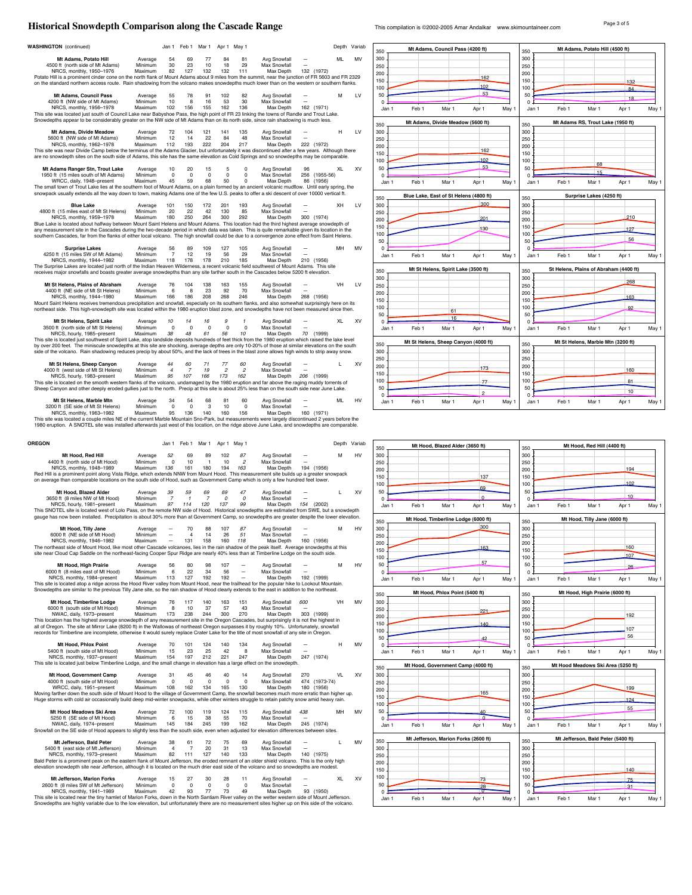### Page 3 of 5 **Historical Snowdepth Comparison along the Cascade Range** This compilation is ©2002-2005 Amar Andalkar www.skimountaineer.com

| <b>WASHINGTON</b> (continued)                                                                                                                                                                                                                                                                                                                                                                                                                                                                                                                                                                                                                                                                                                                                                                                                                                                                                                                                                                                                                                                                                                                                                                                                                                                                                                                                                                                                                                                                                                                                                                                                                                                                                                                                                                                                                                                                                                                                        |                    |                      |                      |                   |                       |                       |                              |     |                             |                    |                |
|----------------------------------------------------------------------------------------------------------------------------------------------------------------------------------------------------------------------------------------------------------------------------------------------------------------------------------------------------------------------------------------------------------------------------------------------------------------------------------------------------------------------------------------------------------------------------------------------------------------------------------------------------------------------------------------------------------------------------------------------------------------------------------------------------------------------------------------------------------------------------------------------------------------------------------------------------------------------------------------------------------------------------------------------------------------------------------------------------------------------------------------------------------------------------------------------------------------------------------------------------------------------------------------------------------------------------------------------------------------------------------------------------------------------------------------------------------------------------------------------------------------------------------------------------------------------------------------------------------------------------------------------------------------------------------------------------------------------------------------------------------------------------------------------------------------------------------------------------------------------------------------------------------------------------------------------------------------------|--------------------|----------------------|----------------------|-------------------|-----------------------|-----------------------|------------------------------|-----|-----------------------------|--------------------|----------------|
| Mt Adams, Potato Hill                                                                                                                                                                                                                                                                                                                                                                                                                                                                                                                                                                                                                                                                                                                                                                                                                                                                                                                                                                                                                                                                                                                                                                                                                                                                                                                                                                                                                                                                                                                                                                                                                                                                                                                                                                                                                                                                                                                                                | Average            | Jan 1<br>54          | Feb 1<br>69          | Mar 1<br>77       | Apr 1<br>84           | May 1<br>81           | Avg Snowfall                 |     |                             | Depth Variab<br>мі | MV             |
| 4500 ft (north side of Mt Adams)<br>NRCS, monthly, 1950-1976                                                                                                                                                                                                                                                                                                                                                                                                                                                                                                                                                                                                                                                                                                                                                                                                                                                                                                                                                                                                                                                                                                                                                                                                                                                                                                                                                                                                                                                                                                                                                                                                                                                                                                                                                                                                                                                                                                         | Minimum<br>Maximum | 30<br>82             | 23<br>127            | 10<br>132         | 18<br>132             | 29<br>111             | Max Snowfall<br>Max Depth    |     | 132 (1972)                  |                    |                |
| Potato Hill is a prominent cinder cone on the north flank of Mount Adams about 9 miles from the summit, near the junction of FR 5603 and FR 2329<br>on the standard northern access route. Rain shadowing from the volcano makes snowdepths much lower than on the western or southern flanks.                                                                                                                                                                                                                                                                                                                                                                                                                                                                                                                                                                                                                                                                                                                                                                                                                                                                                                                                                                                                                                                                                                                                                                                                                                                                                                                                                                                                                                                                                                                                                                                                                                                                       |                    |                      |                      |                   |                       |                       |                              |     |                             |                    |                |
| Mt Adams, Council Pass<br>4200 ft (NW side of Mt Adams)                                                                                                                                                                                                                                                                                                                                                                                                                                                                                                                                                                                                                                                                                                                                                                                                                                                                                                                                                                                                                                                                                                                                                                                                                                                                                                                                                                                                                                                                                                                                                                                                                                                                                                                                                                                                                                                                                                              | Average<br>Minimum | 55<br>10             | 78<br>8              | 91<br>16          | 102<br>53             | 82<br>30              | Avg Snowfall<br>Max Snowfall |     |                             | м                  | LV             |
| NRCS, monthly, 1956-1978<br>This site was located just south of Council Lake near Babyshoe Pass, the high point of FR 23 linking the towns of Randle and Trout Lake.<br>Snowdepths appear to be considerably greater on the NW side of Mt Adams than on its north side, since rain shadowing is much less.                                                                                                                                                                                                                                                                                                                                                                                                                                                                                                                                                                                                                                                                                                                                                                                                                                                                                                                                                                                                                                                                                                                                                                                                                                                                                                                                                                                                                                                                                                                                                                                                                                                           | Maximum            | 102                  | 156                  | 155               | 162                   | 136                   | Max Depth                    |     | 162 (1971)                  |                    |                |
| Mt Adams, Divide Meadow<br>5600 ft (NW side of Mt Adams)                                                                                                                                                                                                                                                                                                                                                                                                                                                                                                                                                                                                                                                                                                                                                                                                                                                                                                                                                                                                                                                                                                                                                                                                                                                                                                                                                                                                                                                                                                                                                                                                                                                                                                                                                                                                                                                                                                             | Average<br>Minimum | 72<br>12             | 104<br>14            | 121<br>22         | 141<br>84             | 135<br>48             | Avg Snowfall<br>Max Snowfall |     |                             | н                  | LV             |
| NRCS, monthly, 1962-1978<br>This site was near Divide Camp below the terminus of the Adams Glacier, but unfortunately it was discontinued after a few years. Although there<br>are no snowdepth sites on the south side of Adams, this site has the same elevation as Cold Springs and so snowdepths may be comparable.                                                                                                                                                                                                                                                                                                                                                                                                                                                                                                                                                                                                                                                                                                                                                                                                                                                                                                                                                                                                                                                                                                                                                                                                                                                                                                                                                                                                                                                                                                                                                                                                                                              | Maximum            | 112                  | 193                  | 222               | 204                   | 217                   | Max Depth                    |     | 222 (1972)                  |                    |                |
| Mt Adams Ranger Stn, Trout Lake<br>1950 ft (15 miles south of Mt Adams)                                                                                                                                                                                                                                                                                                                                                                                                                                                                                                                                                                                                                                                                                                                                                                                                                                                                                                                                                                                                                                                                                                                                                                                                                                                                                                                                                                                                                                                                                                                                                                                                                                                                                                                                                                                                                                                                                              | Average<br>Minimum | 10<br>0              | 20<br>$\circ$        | 15<br>0           | 5<br>$\mathbf 0$      | 0<br>0                | Avg Snowfall<br>Max Snowfall | 96  | 256 (1955-56)               | XL                 | XV             |
| WRCC, daily, 1948-present<br>The small town of Trout Lake lies at the southern foot of Mount Adams, on a plain formed by an ancient volcanic mudflow. Until early spring, the<br>snowpack usually extends all the way down to town, making Adams one of the few U.S. peaks to offer a ski descent of over 10000 vertical ft.                                                                                                                                                                                                                                                                                                                                                                                                                                                                                                                                                                                                                                                                                                                                                                                                                                                                                                                                                                                                                                                                                                                                                                                                                                                                                                                                                                                                                                                                                                                                                                                                                                         | Maximum            | 45                   | 59                   | 68                | 50                    | 0                     | Max Depth                    |     | 86 (1956)                   |                    |                |
| <b>Blue Lake</b><br>4800 ft (15 miles east of Mt St Helens)                                                                                                                                                                                                                                                                                                                                                                                                                                                                                                                                                                                                                                                                                                                                                                                                                                                                                                                                                                                                                                                                                                                                                                                                                                                                                                                                                                                                                                                                                                                                                                                                                                                                                                                                                                                                                                                                                                          | Average<br>Minimum | 101<br>20            | 150<br>22            | 172<br>42         | 201<br>130            | 193<br>85             | Avg Snowfall<br>Max Snowfall |     |                             | XH                 | LV             |
| NRCS, monthly, 1959-1978<br>Blue Lake is located about halfway between Mount Saint Helens and Mount Adams. This location had the third highest average snowdepth of<br>any measurement site in the Cascades during the two-decade period in which data was taken. This is quite remarkable given its location in the<br>southern Cascades, far from the flanks of either local volcano. The high snowfall could be due to a convergence zone effect from Saint Helens.                                                                                                                                                                                                                                                                                                                                                                                                                                                                                                                                                                                                                                                                                                                                                                                                                                                                                                                                                                                                                                                                                                                                                                                                                                                                                                                                                                                                                                                                                               | Maximum            | 180                  | 250                  | 264               | 300                   | 292                   | Max Depth                    |     | 300 (1974)                  |                    |                |
| <b>Surprise Lakes</b>                                                                                                                                                                                                                                                                                                                                                                                                                                                                                                                                                                                                                                                                                                                                                                                                                                                                                                                                                                                                                                                                                                                                                                                                                                                                                                                                                                                                                                                                                                                                                                                                                                                                                                                                                                                                                                                                                                                                                | Average            | 56                   | 89                   | 109               | 127                   | 105                   | Avg Snowfall                 |     |                             | MH                 | MV             |
| 4250 ft (15 miles SW of Mt Adams)<br>NRCS, monthly, 1944-1982<br>The Surprise Lakes are located just north of the Indian Heaven Wilderness, a recent volcanic field southwest of Mount Adams. This site<br>receives major snowfalls and boasts greater average snowdepths than any site farther south in the Cascades below 5200 ft elevation.                                                                                                                                                                                                                                                                                                                                                                                                                                                                                                                                                                                                                                                                                                                                                                                                                                                                                                                                                                                                                                                                                                                                                                                                                                                                                                                                                                                                                                                                                                                                                                                                                       | Minimum<br>Maximum | 7<br>118             | 12<br>178            | 19<br>178         | 56<br>210             | 29<br>185             | Max Snowfall<br>Max Depth    |     | 210 (1956)                  |                    |                |
| Mt St Helens, Plains of Abraham                                                                                                                                                                                                                                                                                                                                                                                                                                                                                                                                                                                                                                                                                                                                                                                                                                                                                                                                                                                                                                                                                                                                                                                                                                                                                                                                                                                                                                                                                                                                                                                                                                                                                                                                                                                                                                                                                                                                      | Average            | 76                   | 104                  | 138               | 163                   | 155                   | Avg Snowfall                 |     |                             | VH                 | LV             |
| 4400 ft (NE side of Mt St Helens)<br>NRCS, monthly, 1944-1980                                                                                                                                                                                                                                                                                                                                                                                                                                                                                                                                                                                                                                                                                                                                                                                                                                                                                                                                                                                                                                                                                                                                                                                                                                                                                                                                                                                                                                                                                                                                                                                                                                                                                                                                                                                                                                                                                                        | Minimum<br>Maximum | 6<br>166             | 8<br>186             | 23<br>208         | 92<br>268             | 70<br>246             | Max Snowfall<br>Max Depth    |     | 268 (1956)                  |                    |                |
| Mount Saint Helens receives tremendous precipitation and snowfall, especially on its southern flanks, and also somewhat surprisingly here on its<br>northeast side. This high-snowdepth site was located within the 1980 eruption blast zone, and snowdepths have not been measured since then.                                                                                                                                                                                                                                                                                                                                                                                                                                                                                                                                                                                                                                                                                                                                                                                                                                                                                                                                                                                                                                                                                                                                                                                                                                                                                                                                                                                                                                                                                                                                                                                                                                                                      |                    |                      |                      |                   |                       |                       |                              |     |                             |                    |                |
| Mt St Helens, Spirit Lake<br>3500 ft (north side of Mt St Helens)                                                                                                                                                                                                                                                                                                                                                                                                                                                                                                                                                                                                                                                                                                                                                                                                                                                                                                                                                                                                                                                                                                                                                                                                                                                                                                                                                                                                                                                                                                                                                                                                                                                                                                                                                                                                                                                                                                    | Average<br>Minimum | 10<br>0              | 14<br>$\circ$        | 16<br>$\mathbf 0$ | 9<br>0                | $\mathbf{1}$<br>0     | Avg Snowfall<br>Max Snowfall |     |                             | XL                 | XV             |
| NRCS, hourly, 1985-present<br>This site is located just southwest of Spirit Lake, atop landslide deposits hundreds of feet thick from the 1980 eruption which raised the lake level                                                                                                                                                                                                                                                                                                                                                                                                                                                                                                                                                                                                                                                                                                                                                                                                                                                                                                                                                                                                                                                                                                                                                                                                                                                                                                                                                                                                                                                                                                                                                                                                                                                                                                                                                                                  | Maximum            | 38                   | 48                   | 61                | 56                    | 10 <sup>10</sup>      | Max Depth                    | 70  | (1999)                      |                    |                |
| by over 200 feet. The miniscule snowdepths at this site are shocking, average depths are only 10-20% of those at similar elevations on the south<br>side of the volcano. Rain shadowing reduces precip by about 50%, and the lack of trees in the blast zone allows high winds to strip away snow.                                                                                                                                                                                                                                                                                                                                                                                                                                                                                                                                                                                                                                                                                                                                                                                                                                                                                                                                                                                                                                                                                                                                                                                                                                                                                                                                                                                                                                                                                                                                                                                                                                                                   |                    |                      |                      |                   |                       |                       |                              |     |                             |                    |                |
| Mt St Helens, Sheep Canyon                                                                                                                                                                                                                                                                                                                                                                                                                                                                                                                                                                                                                                                                                                                                                                                                                                                                                                                                                                                                                                                                                                                                                                                                                                                                                                                                                                                                                                                                                                                                                                                                                                                                                                                                                                                                                                                                                                                                           | Average            | 44                   | 60                   | 71                | 77                    | 60                    | Avg Snowfall                 |     |                             | L                  | <b>XV</b>      |
| 4000 ft (west side of Mt St Helens)<br>NRCS, hourly, 1983-present                                                                                                                                                                                                                                                                                                                                                                                                                                                                                                                                                                                                                                                                                                                                                                                                                                                                                                                                                                                                                                                                                                                                                                                                                                                                                                                                                                                                                                                                                                                                                                                                                                                                                                                                                                                                                                                                                                    | Minimum<br>Maximum | $\overline{4}$<br>95 | 7<br>107             | 19<br>166         | $\overline{c}$<br>173 | $\overline{c}$<br>162 | Max Snowfall<br>Max Depth    | 206 | (1999)                      |                    |                |
| This site is located on the smooth western flanks of the volcano, undamaged by the 1980 eruption and far above the raging muddy torrents of<br>Sheep Canyon and other deeply eroded gullies just to the north. Precip at this site is about 25% less than on the south side near June Lake.                                                                                                                                                                                                                                                                                                                                                                                                                                                                                                                                                                                                                                                                                                                                                                                                                                                                                                                                                                                                                                                                                                                                                                                                                                                                                                                                                                                                                                                                                                                                                                                                                                                                          |                    |                      |                      |                   |                       |                       |                              |     |                             |                    |                |
| Mt St Helens, Marble Mtn                                                                                                                                                                                                                                                                                                                                                                                                                                                                                                                                                                                                                                                                                                                                                                                                                                                                                                                                                                                                                                                                                                                                                                                                                                                                                                                                                                                                                                                                                                                                                                                                                                                                                                                                                                                                                                                                                                                                             | Average<br>Minimum | 34<br>$\mathbf 0$    | 54<br>$\mathbf 0$    | 68<br>3           | 81<br>10              | 60<br>0               | Avg Snowfall<br>Max Snowfall |     |                             | ML                 | HV             |
| 3200 ft (SE side of Mt St Helens)<br>NRCS, monthly, 1963-1982<br>This site was located a couple miles NE of the current Marble Mountain Sno-Park, but measurements were largely discontinued 2 years before the                                                                                                                                                                                                                                                                                                                                                                                                                                                                                                                                                                                                                                                                                                                                                                                                                                                                                                                                                                                                                                                                                                                                                                                                                                                                                                                                                                                                                                                                                                                                                                                                                                                                                                                                                      | Maximum            | 95                   | 136                  | 140               | 160                   | 156                   | Max Depth                    |     | 160 (1971)                  |                    |                |
| 1980 eruption. A SNOTEL site was installed afterwards just west of this location, on the ridge above June Lake, and snowdepths are comparable.                                                                                                                                                                                                                                                                                                                                                                                                                                                                                                                                                                                                                                                                                                                                                                                                                                                                                                                                                                                                                                                                                                                                                                                                                                                                                                                                                                                                                                                                                                                                                                                                                                                                                                                                                                                                                       |                    |                      |                      |                   |                       |                       |                              |     |                             |                    |                |
| <b>OREGON</b>                                                                                                                                                                                                                                                                                                                                                                                                                                                                                                                                                                                                                                                                                                                                                                                                                                                                                                                                                                                                                                                                                                                                                                                                                                                                                                                                                                                                                                                                                                                                                                                                                                                                                                                                                                                                                                                                                                                                                        |                    | Jan 1                | Feb 1                | Mar 1             | Apr 1 May 1           |                       |                              |     |                             | Depth Variab       |                |
| Mt Hood, Red Hill<br>4400 ft (north side of Mt Hood)                                                                                                                                                                                                                                                                                                                                                                                                                                                                                                                                                                                                                                                                                                                                                                                                                                                                                                                                                                                                                                                                                                                                                                                                                                                                                                                                                                                                                                                                                                                                                                                                                                                                                                                                                                                                                                                                                                                 | Average            | 52                   | 69                   |                   |                       | 87                    |                              |     |                             |                    |                |
| NRCS, monthly, 1948-1989                                                                                                                                                                                                                                                                                                                                                                                                                                                                                                                                                                                                                                                                                                                                                                                                                                                                                                                                                                                                                                                                                                                                                                                                                                                                                                                                                                                                                                                                                                                                                                                                                                                                                                                                                                                                                                                                                                                                             |                    |                      |                      | 89                | 102                   |                       | Avg Snowfall                 |     |                             | м                  | HV             |
|                                                                                                                                                                                                                                                                                                                                                                                                                                                                                                                                                                                                                                                                                                                                                                                                                                                                                                                                                                                                                                                                                                                                                                                                                                                                                                                                                                                                                                                                                                                                                                                                                                                                                                                                                                                                                                                                                                                                                                      | Minimum<br>Maximum | 0<br>136             | 10<br>161            | 1<br>180          | 10<br>194             | $\overline{c}$<br>163 | Max Snowfall<br>Max Depth    |     | 194 (1956)                  |                    |                |
| Red Hill is a prominent point along Vista Ridge, which extends NNW from Mount Hood. This measurement site builds up a greater snowpack<br>on average than comparable locations on the south side of Hood, such as Government Camp which is only a few hundred feet lower.                                                                                                                                                                                                                                                                                                                                                                                                                                                                                                                                                                                                                                                                                                                                                                                                                                                                                                                                                                                                                                                                                                                                                                                                                                                                                                                                                                                                                                                                                                                                                                                                                                                                                            |                    |                      |                      |                   |                       |                       |                              |     |                             |                    |                |
| Mt Hood, Blazed Alder                                                                                                                                                                                                                                                                                                                                                                                                                                                                                                                                                                                                                                                                                                                                                                                                                                                                                                                                                                                                                                                                                                                                                                                                                                                                                                                                                                                                                                                                                                                                                                                                                                                                                                                                                                                                                                                                                                                                                | Average            | 39                   | 59                   | 69                | 69                    | 47                    | Avg Snowfall                 |     |                             | L                  |                |
| 3650 ft (8 miles NW of Mt Hood)<br>NRCS, hourly, 1981-present                                                                                                                                                                                                                                                                                                                                                                                                                                                                                                                                                                                                                                                                                                                                                                                                                                                                                                                                                                                                                                                                                                                                                                                                                                                                                                                                                                                                                                                                                                                                                                                                                                                                                                                                                                                                                                                                                                        | Minimum<br>Maximum | 7<br>97              | $\mathbf{1}$<br>114  | 7<br>120          | 0<br>137              | $\mathcal{O}$<br>99   | Max Snowfall<br>Max Depth    | 154 | (2002)                      |                    |                |
|                                                                                                                                                                                                                                                                                                                                                                                                                                                                                                                                                                                                                                                                                                                                                                                                                                                                                                                                                                                                                                                                                                                                                                                                                                                                                                                                                                                                                                                                                                                                                                                                                                                                                                                                                                                                                                                                                                                                                                      |                    |                      |                      |                   |                       |                       |                              |     |                             |                    |                |
| Mt Hood, Tilly Jane                                                                                                                                                                                                                                                                                                                                                                                                                                                                                                                                                                                                                                                                                                                                                                                                                                                                                                                                                                                                                                                                                                                                                                                                                                                                                                                                                                                                                                                                                                                                                                                                                                                                                                                                                                                                                                                                                                                                                  | Average            |                      | 70                   | 88                | 107                   | 87                    | Avg Snowfall                 |     |                             | м                  |                |
| 6000 ft (NE side of Mt Hood)<br>NRCS, monthly, 1946-1982                                                                                                                                                                                                                                                                                                                                                                                                                                                                                                                                                                                                                                                                                                                                                                                                                                                                                                                                                                                                                                                                                                                                                                                                                                                                                                                                                                                                                                                                                                                                                                                                                                                                                                                                                                                                                                                                                                             | Minimum<br>Maximum |                      | 4<br>131             | 14<br>158         | 26<br>160             | 51<br>118             | Max Snowfall<br>Max Depth    |     | 160 (1956)                  |                    |                |
|                                                                                                                                                                                                                                                                                                                                                                                                                                                                                                                                                                                                                                                                                                                                                                                                                                                                                                                                                                                                                                                                                                                                                                                                                                                                                                                                                                                                                                                                                                                                                                                                                                                                                                                                                                                                                                                                                                                                                                      |                    |                      |                      |                   |                       |                       |                              |     |                             |                    |                |
| Mt Hood, High Prairie                                                                                                                                                                                                                                                                                                                                                                                                                                                                                                                                                                                                                                                                                                                                                                                                                                                                                                                                                                                                                                                                                                                                                                                                                                                                                                                                                                                                                                                                                                                                                                                                                                                                                                                                                                                                                                                                                                                                                | Average<br>Minimum | 56                   | 80<br>22             | 98                | 107                   |                       | Avg Snowfall                 |     |                             | M                  | XV<br>HV<br>HV |
| 6000 ft (8 miles east of Mt Hood)<br>NRCS, monthly, 1984-present                                                                                                                                                                                                                                                                                                                                                                                                                                                                                                                                                                                                                                                                                                                                                                                                                                                                                                                                                                                                                                                                                                                                                                                                                                                                                                                                                                                                                                                                                                                                                                                                                                                                                                                                                                                                                                                                                                     | Maximum            | 6<br>113             | 127                  | 34<br>192         | 56<br>192             |                       | Max Snowfall<br>Max Depth    |     | 192 (1999)                  |                    |                |
|                                                                                                                                                                                                                                                                                                                                                                                                                                                                                                                                                                                                                                                                                                                                                                                                                                                                                                                                                                                                                                                                                                                                                                                                                                                                                                                                                                                                                                                                                                                                                                                                                                                                                                                                                                                                                                                                                                                                                                      |                    |                      |                      |                   |                       |                       |                              |     |                             |                    |                |
| Mt Hood, Timberline Lodge<br>6000 ft (south side of Mt Hood)                                                                                                                                                                                                                                                                                                                                                                                                                                                                                                                                                                                                                                                                                                                                                                                                                                                                                                                                                                                                                                                                                                                                                                                                                                                                                                                                                                                                                                                                                                                                                                                                                                                                                                                                                                                                                                                                                                         | Average<br>Minimum | 76<br>8              | 117<br>10            | 140<br>37         | 163<br>57             | 151<br>43             | Avg Snowfall<br>Max Snowfall | 600 |                             | VH                 |                |
| NWAC, daily, 1973-present                                                                                                                                                                                                                                                                                                                                                                                                                                                                                                                                                                                                                                                                                                                                                                                                                                                                                                                                                                                                                                                                                                                                                                                                                                                                                                                                                                                                                                                                                                                                                                                                                                                                                                                                                                                                                                                                                                                                            | Maximum            | 173                  | 238                  | 244               | 300                   | 270                   | Max Depth                    |     | 303 (1999)                  |                    |                |
|                                                                                                                                                                                                                                                                                                                                                                                                                                                                                                                                                                                                                                                                                                                                                                                                                                                                                                                                                                                                                                                                                                                                                                                                                                                                                                                                                                                                                                                                                                                                                                                                                                                                                                                                                                                                                                                                                                                                                                      |                    |                      |                      |                   |                       |                       |                              |     |                             |                    |                |
| Mt Hood, Phlox Point<br>5400 ft (south side of Mt Hood)                                                                                                                                                                                                                                                                                                                                                                                                                                                                                                                                                                                                                                                                                                                                                                                                                                                                                                                                                                                                                                                                                                                                                                                                                                                                                                                                                                                                                                                                                                                                                                                                                                                                                                                                                                                                                                                                                                              | Average<br>Minimum | 70<br>15             | 101<br>23            | 124<br>25         | 140<br>42             | 134<br>8              | Avg Snowfall<br>Max Snowfall |     |                             | н                  |                |
| NRCS, monthly, 1937-present                                                                                                                                                                                                                                                                                                                                                                                                                                                                                                                                                                                                                                                                                                                                                                                                                                                                                                                                                                                                                                                                                                                                                                                                                                                                                                                                                                                                                                                                                                                                                                                                                                                                                                                                                                                                                                                                                                                                          | Maximum            | 154                  | 197                  | 212               | 221                   | 247                   | Max Depth                    |     | 247 (1974)                  |                    | MV<br>MV       |
| Mt Hood, Government Camp                                                                                                                                                                                                                                                                                                                                                                                                                                                                                                                                                                                                                                                                                                                                                                                                                                                                                                                                                                                                                                                                                                                                                                                                                                                                                                                                                                                                                                                                                                                                                                                                                                                                                                                                                                                                                                                                                                                                             | Average            | 31                   | 45                   | 46                | 40                    | 14                    | Avg Snowfall                 | 270 |                             | VL                 | XV             |
| 4000 ft (south side of Mt Hood)<br>WRCC, daily, 1951-present                                                                                                                                                                                                                                                                                                                                                                                                                                                                                                                                                                                                                                                                                                                                                                                                                                                                                                                                                                                                                                                                                                                                                                                                                                                                                                                                                                                                                                                                                                                                                                                                                                                                                                                                                                                                                                                                                                         | Minimum<br>Maximum | $\Omega$<br>108      | $\Omega$<br>162      | $^{\circ}$<br>134 | $^{\circ}$<br>165     | 0<br>130              | Max Snowfall<br>Max Depth    | 474 | $(1973 - 74)$<br>180 (1956) |                    |                |
|                                                                                                                                                                                                                                                                                                                                                                                                                                                                                                                                                                                                                                                                                                                                                                                                                                                                                                                                                                                                                                                                                                                                                                                                                                                                                                                                                                                                                                                                                                                                                                                                                                                                                                                                                                                                                                                                                                                                                                      |                    |                      |                      |                   |                       |                       |                              |     |                             |                    |                |
| Mt Hood Meadows Ski Area                                                                                                                                                                                                                                                                                                                                                                                                                                                                                                                                                                                                                                                                                                                                                                                                                                                                                                                                                                                                                                                                                                                                                                                                                                                                                                                                                                                                                                                                                                                                                                                                                                                                                                                                                                                                                                                                                                                                             | Average            | 72                   | 100                  | 119               | 124                   | 115                   | Avg Snowfall                 | 438 |                             | MH                 |                |
| 5250 ft (SE side of Mt Hood)<br>NWAC, daily, 1974-present                                                                                                                                                                                                                                                                                                                                                                                                                                                                                                                                                                                                                                                                                                                                                                                                                                                                                                                                                                                                                                                                                                                                                                                                                                                                                                                                                                                                                                                                                                                                                                                                                                                                                                                                                                                                                                                                                                            | Minimum<br>Maximum | 6<br>145             | 15<br>184            | 38<br>245         | 55<br>199             | 70<br>162             | Max Snowfall<br>Max Depth    |     | 245 (1974)                  |                    |                |
|                                                                                                                                                                                                                                                                                                                                                                                                                                                                                                                                                                                                                                                                                                                                                                                                                                                                                                                                                                                                                                                                                                                                                                                                                                                                                                                                                                                                                                                                                                                                                                                                                                                                                                                                                                                                                                                                                                                                                                      |                    |                      |                      |                   |                       |                       |                              |     |                             |                    | MV             |
| This SNOTEL site is located west of Lolo Pass, on the remote NW side of Hood. Historical snowdepths are estimated from SWE, but a snowdepth<br>gauge has now been installed. Precipitation is about 30% more than at Government Camp, so snowdepths are greater despite the lower elevation.<br>The northeast side of Mount Hood, like most other Cascade volcanoes, lies in the rain shadow of the peak itself. Average snowdepths at this<br>site near Cloud Cap Saddle on the northeast-facing Cooper Spur Ridge are nearly 40% less than at Timberline Lodge on the south side.<br>This site is located atop a ridge across the Hood River valley from Mount Hood, near the trailhead for the popular hike to Lookout Mountain.<br>Snowdepths are similar to the previous Tilly Jane site, so the rain shadow of Hood clearly extends to the east in addition to the northeast.<br>This location has the highest average snowdepth of any measurement site in the Oregon Cascades, but surprisingly it is not the highest in<br>all of Oregon. The site at Mirror Lake (8200 ft) in the Wallowas of northeast Oregon surpasses it by roughly 10%. Unfortunately, snowfall<br>records for Timberline are incomplete, otherwise it would surely replace Crater Lake for the title of most snowfall of any site in Oregon.<br>This site is located just below Timberline Lodge, and the small change in elevation has a large effect on the snowdepth.<br>Moving farther down the south side of Mount Hood to the village of Government Camp, the snowfall becomes much more erratic than higher up.<br>Huge storms with cold air occasionally build deep mid-winter snowpacks, while other winters struggle to retain patchy snow amid heavy rain.<br>Snowfall on the SE side of Hood appears to slightly less than the south side, even when adjusted for elevation differences between sites.<br>Mt Jefferson, Bald Peter<br>5400 ft (east side of Mt Jefferson) | Average<br>Minimum | 38<br>$\overline{4}$ | 61<br>$\overline{7}$ | 72<br>20          | 75<br>31              | 69<br>13              | Avg Snowfall<br>Max Snowfall |     |                             | L                  | MV             |
| NRCS, monthly, 1973-present<br>Bald Peter is a prominent peak on the eastern flank of Mount Jefferson, the eroded remnant of an older shield volcano. This is the only high<br>elevation snowdepth site near Jefferson, although it is located on the much drier east side of the volcano and so snowdepths are modest.                                                                                                                                                                                                                                                                                                                                                                                                                                                                                                                                                                                                                                                                                                                                                                                                                                                                                                                                                                                                                                                                                                                                                                                                                                                                                                                                                                                                                                                                                                                                                                                                                                              | Maximum            | 82                   | 111                  | 127               | 140                   | 133                   | Max Depth                    |     | 140 (1975)                  |                    |                |
| Mt Jefferson, Marion Forks<br>2600 ft (8 miles SW of Mt Jefferson)                                                                                                                                                                                                                                                                                                                                                                                                                                                                                                                                                                                                                                                                                                                                                                                                                                                                                                                                                                                                                                                                                                                                                                                                                                                                                                                                                                                                                                                                                                                                                                                                                                                                                                                                                                                                                                                                                                   | Average<br>Minimum | 15<br>$\mathbf 0$    | 27<br>$\circ$        | 30<br>$\mathbf 0$ | 28<br>0               | 11<br>0               | Avg Snowfall<br>Max Snowfall |     |                             | XL                 | XV             |



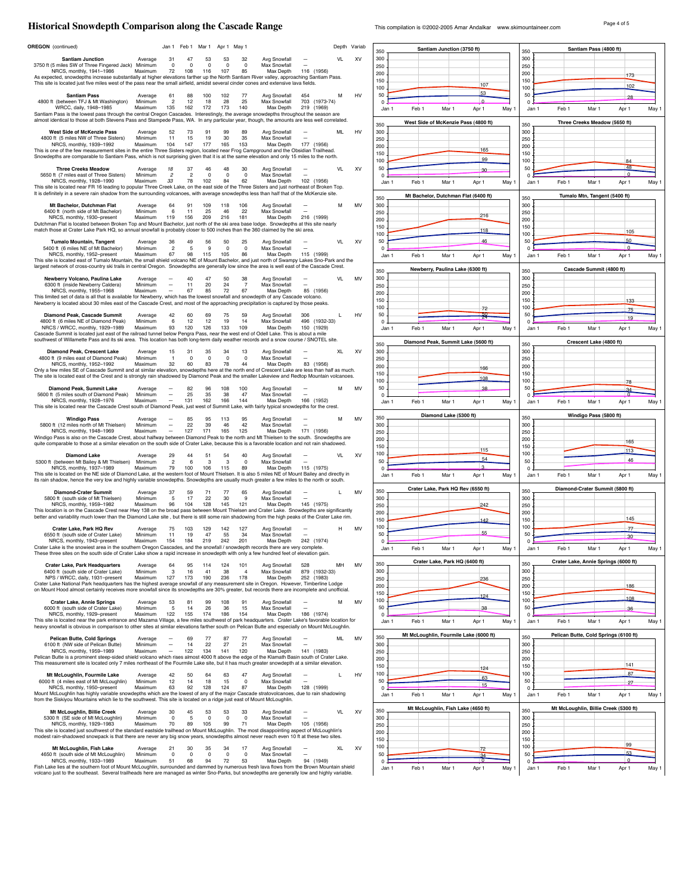# Page 4 of 5 **Historical Snowdepth Comparison along the Cascade Range** This compilation is ©2002-2005 Amar Andalkar www.skimountaineer.com

|                                                                                                                                                                                                                                                                                                     | Jan 1                                                             | Feb 1 Mar 1                         | Apr 1 May 1                            |                           |                             | Depth Variab |           |                                       | Santiam Junction (3750 ft)             |                            |                         |       | Santiam Pass (4800 ft)                |                   |       |
|-----------------------------------------------------------------------------------------------------------------------------------------------------------------------------------------------------------------------------------------------------------------------------------------------------|-------------------------------------------------------------------|-------------------------------------|----------------------------------------|---------------------------|-----------------------------|--------------|-----------|---------------------------------------|----------------------------------------|----------------------------|-------------------------|-------|---------------------------------------|-------------------|-------|
| <b>Santiam Junction</b><br>Average                                                                                                                                                                                                                                                                  | 31<br>47                                                          | 53<br>53                            | 32                                     | Avg Snowfall              |                             | <b>VL</b>    | XV        | 350<br>300                            |                                        |                            | 350<br>300              |       |                                       |                   |       |
| 3750 ft (5 miles SW of Three Fingered Jack) Minimum<br>NRCS, monthly, 1941-1986<br>Maximum                                                                                                                                                                                                          | $\mathbf 0$<br>$\mathbf 0$<br>72<br>108                           | $\mathbf 0$<br>116<br>107           | $\mathsf 0$<br>$\mathsf 0$<br>85       | Max Snowfall<br>Max Depth | 116<br>(1956                |              |           | 250<br>200                            |                                        |                            | 250<br>200              |       |                                       | 173               |       |
| As expected, snowdepths increase substantially at higher elevations farther up the North Santiam River valley, approaching Santiam Pass.<br>This site is located just five miles west of the pass near the small airfield, amidst several cinder cones and extensive lava fields.                   |                                                                   |                                     |                                        |                           |                             |              |           | 150<br>100                            |                                        | 107                        | 150<br>100              |       |                                       | 102               |       |
| <b>Santiam Pass</b><br>Average                                                                                                                                                                                                                                                                      | 88<br>61                                                          | 100<br>102                          | 77                                     | Avg Snowfall              | 454                         | M            | HV        | 50                                    |                                        | 53                         | 50                      |       |                                       | 28                |       |
| 4800 ft (between TFJ & Mt Washington)<br>Minimum<br>WRCC, daily, 1948-1985<br>Maximum                                                                                                                                                                                                               | $\overline{c}$<br>12<br>135<br>162                                | 18<br>28<br>172<br>173              | 25<br>140                              | Max Snowfall<br>Max Depth | 703 (1973-74)<br>219 (1969) |              |           | $\Omega$<br>Jan 1<br>Feb 1            | Mar 1                                  | $\Omega$<br>Apr 1<br>May 1 | $\Omega$<br>Jan 1       | Feb 1 | Mar 1                                 | Apr 1             | May   |
| Santiam Pass is the lowest pass through the central Oregon Cascades. Interestingly, the average snowdepths throughout the season are<br>almost identical to those at both Stevens Pass and Stampede Pass, WA. In any particular year, though, the amounts are less well correlated.                 |                                                                   |                                     |                                        |                           |                             |              |           |                                       | West Side of McKenzie Pass (4800 ft)   |                            |                         |       | Three Creeks Meadow (5650 ft)         |                   |       |
| <b>West Side of McKenzie Pass</b><br>Average                                                                                                                                                                                                                                                        | 52<br>73                                                          | 91<br>99                            | 89                                     | Avg Snowfall              |                             | ML           | HV        | 350<br>300                            |                                        |                            | 350<br>300              |       |                                       |                   |       |
| 4800 ft (5 miles NW of Three Sisters)<br>Minimum<br>NRCS, monthly, 1939-1992<br>Maximum                                                                                                                                                                                                             | 11<br>15<br>104<br>147                                            | 19<br>30<br>177<br>165              | 35<br>153                              | Max Snowfall<br>Max Depth | 177 (1956)                  |              |           | 250<br>200                            |                                        |                            | 250<br>200              |       |                                       |                   |       |
| This is one of the few measurement sites in the entire Three Sisters region, located near Frog Campground and the Obsidian Trailhead.<br>Snowdepths are comparable to Santiam Pass, which is not surprising given that it is at the same elevation and only 15 miles to the north.                  |                                                                   |                                     |                                        |                           |                             |              |           | 150                                   |                                        | 165<br>99                  | 150                     |       |                                       |                   |       |
| <b>Three Creeks Meadow</b><br>Average                                                                                                                                                                                                                                                               | 18<br>37                                                          | 46                                  | 48<br>30                               | Avg Snowfall              |                             | <b>VL</b>    | XV        | 100<br>50                             |                                        | 30                         | 100<br>50               |       |                                       | 84<br>48          |       |
| 5650 ft (7 miles east of Three Sisters)<br>Minimum<br>NRCS, monthly, 1928-1990<br>Maximum                                                                                                                                                                                                           | $\overline{c}$<br>$\overline{2}$<br>33<br>78                      | $\overline{0}$<br>102<br>84         | $^{\circ}$<br>$\overline{0}$<br>62     | Max Snowfall<br>Max Depth | 102 (1956)                  |              |           | $\Omega$<br>Feb 1<br>Jan 1            | Mar 1                                  | May 1<br>Apr 1             | $\Omega$<br>Jan 1       | Feb 1 | Mar 1                                 | $\circ$<br>Apr 1  | May 1 |
| This site is located near FR 16 leading to popular Three Creek Lake, on the east side of the Three Sisters and just northeast of Broken Top.<br>It is definitely in a severe rain shadow from the surrounding volcanoes, with average snowdepths less than half that of the McKenzie site.          |                                                                   |                                     |                                        |                           |                             |              |           |                                       |                                        |                            |                         |       |                                       |                   |       |
| Mt Bachelor, Dutchman Flat<br>Average                                                                                                                                                                                                                                                               | 64<br>91                                                          | 109<br>118                          | 106                                    | Avg Snowfall              |                             | M            | MV        | 350<br>300                            | Mt Bachelor, Dutchman Flat (6400 ft)   |                            | 350<br>300              |       | Tumalo Mtn, Tangent (5400 ft)         |                   |       |
| 6400 ft (north side of Mt Bachelor)<br>Minimum<br>NRCS, monthly, 1930-present<br>Maximum                                                                                                                                                                                                            | 6<br>11<br>119<br>156                                             | 25<br>46<br>209<br>216              | 22<br>181                              | Max Snowfall<br>Max Depth | 216 (1999)                  |              |           | 250<br>200                            |                                        | 216                        | 250<br>200              |       |                                       |                   |       |
| Dutchman Flat is located between Broken Top and Mount Bachelor, just north of the ski area base lodge. Snowdepths at this site nearly<br>match those at Crater Lake Park HQ, so annual snowfall is probably closer to 500 inches than the 360 claimed by the ski area.                              |                                                                   |                                     |                                        |                           |                             |              |           | 150                                   |                                        | 118                        | 150                     |       |                                       | 105               |       |
| <b>Tumalo Mountain, Tangent</b><br>Average                                                                                                                                                                                                                                                          | 36<br>49                                                          | 56<br>50                            | 25                                     | Avg Snowfall              |                             | <b>VL</b>    | XV        | 100<br>50                             |                                        | 46                         | 100<br>50               |       |                                       | 50                |       |
| 5400 ft (6 miles NE of Mt Bachelor)<br>Minimum<br>NRCS, monthly, 1952-present<br>Maximum                                                                                                                                                                                                            | $\overline{2}$<br>$\overline{5}$<br>67<br>98                      | 9<br>115<br>105                     | $\mathbf 0$<br>$\mathbf 0$<br>86       | Max Snowfall<br>Max Depth | 115 (1999)                  |              |           | $\Omega$<br>Jan 1<br>Feb <sub>1</sub> | Mar 1                                  | Apr 1<br>May 1             | $\Omega$<br>Jan 1       | Feb 1 | Mar 1                                 | $\Omega$<br>Apr 1 | May 1 |
| This site is located east of Tumalo Mountain, the small shield volcano NE of Mount Bachelor, and just north of Swampy Lakes Sno-Park and the<br>largest network of cross-country ski trails in central Oregon. Snowdepths are generally low since the area is well east of the Cascade Crest.       |                                                                   |                                     |                                        |                           |                             |              |           |                                       |                                        |                            |                         |       |                                       |                   |       |
| Newberry Volcano, Paulina Lake<br>Average                                                                                                                                                                                                                                                           | 40                                                                | 47<br>50                            | 38                                     | Avg Snowfall              |                             | <b>VL</b>    | MV        | 350<br>300                            | Newberry, Paulina Lake (6300 ft)       |                            | 350<br>300              |       | Cascade Summit (4800 ft)              |                   |       |
| 6300 ft (inside Newberry Caldera)<br>Minimum<br>NRCS, monthly, 1955-1968<br>Maximum                                                                                                                                                                                                                 | 11<br>67                                                          | 20<br>24<br>72<br>85                | $\overline{7}$<br>67                   | Max Snowfall<br>Max Depth | 85 (1956)                   |              |           | 250                                   |                                        |                            | 250                     |       |                                       |                   |       |
| This limited set of data is all that is available for Newberry, which has the lowest snowfall and snowdepth of any Cascade volcano.<br>Newberry is located about 30 miles east of the Cascade Crest, and most of the approaching precipitation is captured by those peaks.                          |                                                                   |                                     |                                        |                           |                             |              |           | 200<br>150                            |                                        |                            | 200<br>150              |       |                                       | 133               |       |
| Diamond Peak, Cascade Summit<br>Average                                                                                                                                                                                                                                                             | 42<br>60                                                          | 69                                  | 75<br>59                               | Avg Snowfall              | 306                         | Г            | HV        | 100<br>50                             |                                        | 72                         | 100<br>50               |       |                                       | 75                |       |
| 4800 ft (6 miles NE of Diamond Peak)<br>Minimum<br>NRCS / WRCC, monthly, 1929-1989<br>Maximum                                                                                                                                                                                                       | 6<br>12<br>93<br>120                                              | 12<br>19<br>126<br>133              | 14<br>109                              | Max Snowfall<br>Max Depth | 496 (1932-33)<br>150 (1929) |              |           | $^{\circ}$                            |                                        |                            | $\Omega$                |       |                                       | 19                |       |
| Cascade Summit is located just east of the railroad tunnel below Pengra Pass, near the west end of Odell Lake. This is about a mile<br>southwest of Willamette Pass and its ski area. This location has both long-term daily weather records and a snow course / SNOTEL site.                       |                                                                   |                                     |                                        |                           |                             |              |           | Feb 1<br>Jan 1                        | Mar 1                                  | Apr 1<br>May 1             | Jan 1                   | Feb 1 | Mar 1                                 | Apr 1             | May 1 |
| Diamond Peak, Crescent Lake<br>Average                                                                                                                                                                                                                                                              | 15<br>31                                                          | -35<br>34                           | 13                                     | Avg Snowfall              |                             | XL           | XV        | 350<br>300                            | Diamond Peak, Summit Lake (5600 ft)    |                            | 350<br>300              |       | Crescent Lake (4800 ft)               |                   |       |
| 4800 ft (9 miles east of Diamond Peak)<br>Minimum<br>NRCS, monthly, 1952-1992<br>Maximum                                                                                                                                                                                                            | $\overline{1}$<br>$\mathbf 0$<br>32<br>60                         | $\overline{\mathbf{0}}$<br>83<br>78 | $\overline{0}$<br>$\overline{0}$<br>44 | Max Snowfall<br>Max Depth | 83 (1956)                   |              |           | 250                                   |                                        |                            | 250                     |       |                                       |                   |       |
| Only a few miles SE of Cascade Summit and at similar elevation, snowdepths here at the north end of Crescent Lake are less than half as much.<br>The site is located east of the Crest and is strongly rain shadowed by Diamond Peak and the smaller Lakeview and Redtop Mountain volcanoes.        |                                                                   |                                     |                                        |                           |                             |              |           | 200<br>150                            |                                        | 166                        | 200<br>150              |       |                                       |                   |       |
| Diamond Peak, Summit Lake<br>Average                                                                                                                                                                                                                                                                | 82                                                                | 96<br>108                           | 100                                    | Avg Snowfall              |                             | м            | MV        | 100<br>50                             |                                        | 108<br>38                  | 100<br>50               |       |                                       | 78                |       |
| 5600 ft (5 miles south of Diamond Peak)<br>Minimum<br>NRCS, monthly, 1928-1976<br>Maximum                                                                                                                                                                                                           | $\overline{\phantom{m}}$<br>25<br>$\overline{\phantom{a}}$<br>131 | 35<br>38<br>162<br>166              | 47<br>144                              | Max Snowfall<br>Max Depth | 166 (1952)                  |              |           | $^{\circ}$                            |                                        |                            | $\Omega$                |       |                                       |                   |       |
| This site is located near the Cascade Crest south of Diamond Peak, just west of Summit Lake, with fairly typical snowdepths for the crest.                                                                                                                                                          |                                                                   |                                     |                                        |                           |                             |              |           | Feb 1<br>Jan 1                        | Mar 1                                  | Apr 1<br>May 1             | Jan 1                   | Feb 1 | Mar 1                                 | Apr 1             | May 1 |
|                                                                                                                                                                                                                                                                                                     |                                                                   |                                     |                                        |                           |                             |              |           |                                       |                                        |                            |                         |       |                                       |                   |       |
| <b>Windigo Pass</b><br>Average                                                                                                                                                                                                                                                                      | 85                                                                | 95<br>113                           | 95                                     | Avg Snowfall              |                             | м            | MV        | 350                                   | Diamond Lake (5300 ft)                 |                            | 350                     |       | Windigo Pass (5800 ft)                |                   |       |
| 5800 ft (12 miles north of Mt Thielsen)<br>Minimum<br>NRCS, monthly, 1948-1969<br>Maximum                                                                                                                                                                                                           | 22<br>127                                                         | 39<br>46<br>171<br>165              | 42<br>125                              | Max Snowfall<br>Max Depth | 171 (1956)                  |              |           | 300<br>250                            |                                        |                            | 300<br>250              |       |                                       |                   |       |
| Windigo Pass is also on the Cascade Crest, about halfway between Diamond Peak to the north and Mt Thielsen to the south. Snowdepths are<br>quite comparable to those at a similar elevation on the south side of Crater Lake, because this is a favorable location and not rain shadowed.           |                                                                   |                                     |                                        |                           |                             |              |           | 200<br>150                            |                                        |                            | 200<br>150              |       |                                       | 165               |       |
| <b>Diamond Lake</b><br>Average                                                                                                                                                                                                                                                                      | 29<br>44                                                          | 51<br>54                            | 40                                     | Avg Snowfall              |                             | <b>VL</b>    | XV        | 100                                   |                                        | 115<br>54                  | 100                     |       |                                       | 113               |       |
| 5300 ft (between Mt Bailey & Mt Thielsen)<br>Minimum<br>NRCS, monthly, 1937-1989<br>Maximum                                                                                                                                                                                                         | $\overline{2}$<br>6<br>79<br>100                                  | $\mathbf{3}$<br>106<br>115          | 3<br>$\mathsf 0$<br>89                 | Max Snowfall<br>Max Depth | 115 (1975)                  |              |           | 50<br>$\Omega$                        |                                        | $\mathbf{B}$               | 50<br>$\Omega$          |       |                                       | 46                |       |
| This site is located on the NE side of Diamond Lake, at the western foot of Mount Thielsen. It is also 5 miles NE of Mount Bailey and directly in<br>its rain shadow, hence the very low and highly variable snowdepths. Snowdepths are usually much greater a few miles to the north or south.     |                                                                   |                                     |                                        |                           |                             |              |           | Feb 1<br>Jan 1                        | Mar 1                                  | Apr 1<br>May 1             | Jan 1                   | Feb 1 | Mar 1                                 | Apr 1             | May 1 |
| <b>Diamond-Crater Summit</b><br>Average                                                                                                                                                                                                                                                             | 37<br>59                                                          | 71<br>77                            | 65                                     | Avg Snowfall              |                             | L.           | MV        | 350                                   | Crater Lake, Park HQ Rev (6550 ft)     |                            | 350                     |       | Diamond-Crater Summit (5800 ft)       |                   |       |
| 5800 ft (south side of Mt Thielsen)<br>Minimum<br>NRCS. monthly. 1959-1982<br>Maximum                                                                                                                                                                                                               | 5<br>17<br>96<br>104                                              | 22<br>30<br>128<br>145              | 9<br>121                               | Max Snowfall<br>Max Depth | 145 (1975)                  |              |           | 300<br>250                            |                                        | 242                        | 300<br>250              |       |                                       |                   |       |
| This location is on the Cascade Crest near Hwy 138 on the broad pass between Mount Thielsen and Crater Lake. Snowdepths are significantly<br>better and variability much lower than the Diamond Lake site, but there is still some rain shadowing from the high peaks of the Crater Lake rim.       |                                                                   |                                     |                                        |                           |                             |              |           | 200<br>150                            |                                        | 142                        | 200<br>150              |       |                                       | 145               |       |
| Crater Lake, Park HQ Rev<br>Average                                                                                                                                                                                                                                                                 | 75<br>103                                                         | 129<br>142                          | 127                                    | Avg Snowfall              |                             | н            | MV        | 100                                   |                                        | 55                         | 100                     |       |                                       | 77                |       |
| 6550 ft (south side of Crater Lake)<br>Minimum<br>NRCS, monthly, 1943-present<br>Maximum                                                                                                                                                                                                            | 11<br>19<br>154<br>184                                            | 47<br>- 55<br>219                   | - 34<br>242<br>201                     | Max Snowfall<br>Max Denth | 242 (1974)                  |              |           | 50                                    |                                        |                            | 50                      |       |                                       | 30                |       |
| Crater Lake is the snowiest area in the southern Oregon Cascades, and the snowfall / snowdepth records there are very complete.<br>These three sites on the south side of Crater Lake show a rapid increase in snowdepth with only a few hundred feet of elevation gain.                            |                                                                   |                                     |                                        |                           |                             |              |           | Jan 1<br>Feb 1                        | Mar 1                                  | May 1<br>Apr 1             | Jan 1                   | Feb 1 | Mar 1                                 | Apr 1             | May 1 |
| <b>Crater Lake, Park Headquarters</b><br>Average                                                                                                                                                                                                                                                    | 64<br>95                                                          | 114<br>124                          | 101<br>$\overline{4}$                  | Avg Snowfall              | 528                         | MH           | <b>MV</b> | 350                                   | Crater Lake, Park HQ (6400 ft)         |                            | 350                     |       | Crater Lake, Annie Springs (6000 ft)  |                   |       |
| 6400 ft (south side of Crater Lake)<br>Minimum<br>NPS / WRCC, daily, 1931-present<br>Maximum                                                                                                                                                                                                        | 3<br>16<br>127<br>173                                             | 41<br>38<br>190<br>236              | 178                                    | Max Snowfall<br>Max Depth | 879 (1932-33)<br>252 (1983) |              |           | 300<br>250                            |                                        | 236                        | 300<br>250              |       |                                       |                   |       |
| Crater Lake National Park headquarters has the highest average snowfall of any measurement site in Oregon. However, Timberline Lodge<br>on Mount Hood almost certainly receives more snowfall since its snowdepths are 30% greater, but records there are incomplete and unofficial.                |                                                                   |                                     |                                        |                           |                             |              |           | 200<br>150                            |                                        |                            | 200<br>150              |       |                                       | 186               |       |
| <b>Crater Lake, Annie Springs</b><br>Average                                                                                                                                                                                                                                                        | 53<br>81                                                          | 99<br>108                           | 91                                     | Avg Snowfall              |                             | м            | MV        | 100                                   |                                        | 124                        | 100                     |       |                                       | 108               |       |
| 6000 ft (south side of Crater Lake)<br>Minimum<br>NRCS, monthly, 1929-present<br>Maximum                                                                                                                                                                                                            | 5<br>14<br>122<br>155                                             | 26<br>36<br>174<br>186              | 15<br>154                              | Max Snowfall<br>Max Depth | 186 (1974)                  |              |           | 50<br>$\Omega$                        |                                        | 38                         | 50<br>$\Omega$          |       |                                       | 36                |       |
| This site is located near the park entrance and Mazama Village, a few miles southwest of park headquarters. Crater Lake's favorable location for<br>heavy snowfall is obvious in comparison to other sites at similar elevations farther south on Pelican Butte and especially on Mount McLoughlin. |                                                                   |                                     |                                        |                           |                             |              |           | Feb 1<br>Jan 1                        | Mar 1                                  | May 1<br>Apr 1             | Jan 1                   | Feb 1 | Mar 1                                 | Apr 1             | May 1 |
| Pelican Butte, Cold Springs<br>Average                                                                                                                                                                                                                                                              | 69                                                                | 77<br>87                            | 77                                     | Avg Snowfall              |                             | MI           | MV        | 350                                   | Mt McLoughlin, Fourmile Lake (6000 ft) |                            | 350                     |       | Pelican Butte, Cold Springs (6100 ft) |                   |       |
| 6100 ft (NW side of Pelican Butte)<br>Minimum<br>NRCS, monthly, 1959-1989<br>Maximum                                                                                                                                                                                                                | 14<br>$\overline{\phantom{a}}$<br>122<br>$\equiv$                 | 22<br>27<br>134<br>141              | 21<br>120                              | Max Snowfall<br>Max Depth | 141 (1983)                  |              |           | 300<br>250                            |                                        |                            | 300<br>250              |       |                                       |                   |       |
| Pelican Butte is a prominent steep-sided shield volcano which rises almost 4000 ft above the edge of the Klamath Basin south of Crater Lake.<br>This measurement site is located only 7 miles northeast of the Fourmile Lake site, but it has much greater snowdepth at a similar elevation.        |                                                                   |                                     |                                        |                           |                             |              |           | 200<br>150                            |                                        | 124                        | 200<br>150              |       |                                       | 141               |       |
| Mt McLoughlin, Fourmile Lake<br>Average                                                                                                                                                                                                                                                             | 42<br>50                                                          | 64                                  | 63<br>47                               | Avg Snowfall              |                             | L.           | HV        | 100                                   |                                        | 63                         | 100                     |       |                                       | 87                |       |
| 6000 ft (4 miles east of Mt McLoughlin)<br>Minimum<br>NRCS, monthly, 1950-present<br>Maximum                                                                                                                                                                                                        | 12<br>14<br>63<br>92                                              | 18<br>128<br>124                    | 15<br>$\circ$<br>87                    | Max Snowfall<br>Max Depth | 128 (1999)                  |              |           | 50<br>$\Omega$                        |                                        | 15                         | 50<br>$\Omega$          |       |                                       | 27                |       |
| Mount McLoughlin has highly variable snowdepths which are the lowest of any of the major Cascade stratovolcanoes, due to rain shadowing<br>from the Siskiyou Mountains which lie to the southwest. This site is located on a ridge just east of Mount McLoughlin.                                   |                                                                   |                                     |                                        |                           |                             |              |           | Feb 1<br>Jan 1                        | Mar 1                                  | Apr 1<br>May 1             | Jan 1                   | Feb 1 | Mar 1                                 | Apr 1             | May 1 |
| Mt McLoughlin, Billie Creek<br>Average                                                                                                                                                                                                                                                              | 30<br>45                                                          | 53                                  | 53<br>33                               | Avg Snowfall              |                             | <b>VL</b>    | XV        | 350                                   | Mt McLoughlin, Fish Lake (4650 ft)     |                            | 350                     |       | Mt McLoughlin, Billie Creek (5300 ft) |                   |       |
| 5300 ft (SE side of Mt McLoughlin)<br>Minimum<br>NRCS, monthly, 1929-1983<br>Maximum                                                                                                                                                                                                                | $\Omega$<br>-5<br>70<br>89                                        | $\Omega$<br>105<br>99               | $\Omega$<br>$\Omega$<br>71             | Max Snowfall<br>Max Depth | 105 (1956)                  |              |           | 300<br>250                            |                                        |                            | 300<br>250              |       |                                       |                   |       |
| This site is located just southwest of the standard eastside trailhead on Mount McLoughlin. The most disappointing aspect of McLoughlin's<br>modest rain-shadowed snowpack is that there are never any big snow years, snowdepths almost never reach even 10 ft at these two sites.                 |                                                                   |                                     |                                        |                           |                             |              |           | 200<br>150                            |                                        |                            | 200<br>150              |       |                                       |                   |       |
| Mt McLoughlin, Fish Lake<br>Average                                                                                                                                                                                                                                                                 | 21<br>30                                                          | 35<br>34                            | 17                                     | Avg Snowfall              |                             | XL           | XV        | 100                                   |                                        | 72                         | 100                     |       |                                       | 99<br>53          |       |
| 4650 ft (south side of Mt McLoughlin)<br>Minimum<br>NRCS, monthly, 1933-1989<br>Maximum<br>Fish Lake lies at the southern foot of Mount McLoughlin, surrounded and dammed by numerous fresh lava flows from the Brown Mountain shield                                                               | $\mathbf 0$<br>$\mathbf 0$<br>51<br>68                            | $\mathsf 0$<br>94                   | $^{\circ}$<br>$\mathbf{0}$<br>72<br>53 | Max Snowfall<br>Max Depth | 94 (1949)                   |              |           | 50<br>$^{\circ}$<br>Feb 1<br>Jan 1    | Mar 1                                  | ٩A<br>Apr 1<br>May 1       | 50<br>$\Omega$<br>Jan 1 | Feb 1 | Mar 1                                 | $\Omega$<br>Apr 1 | May 1 |